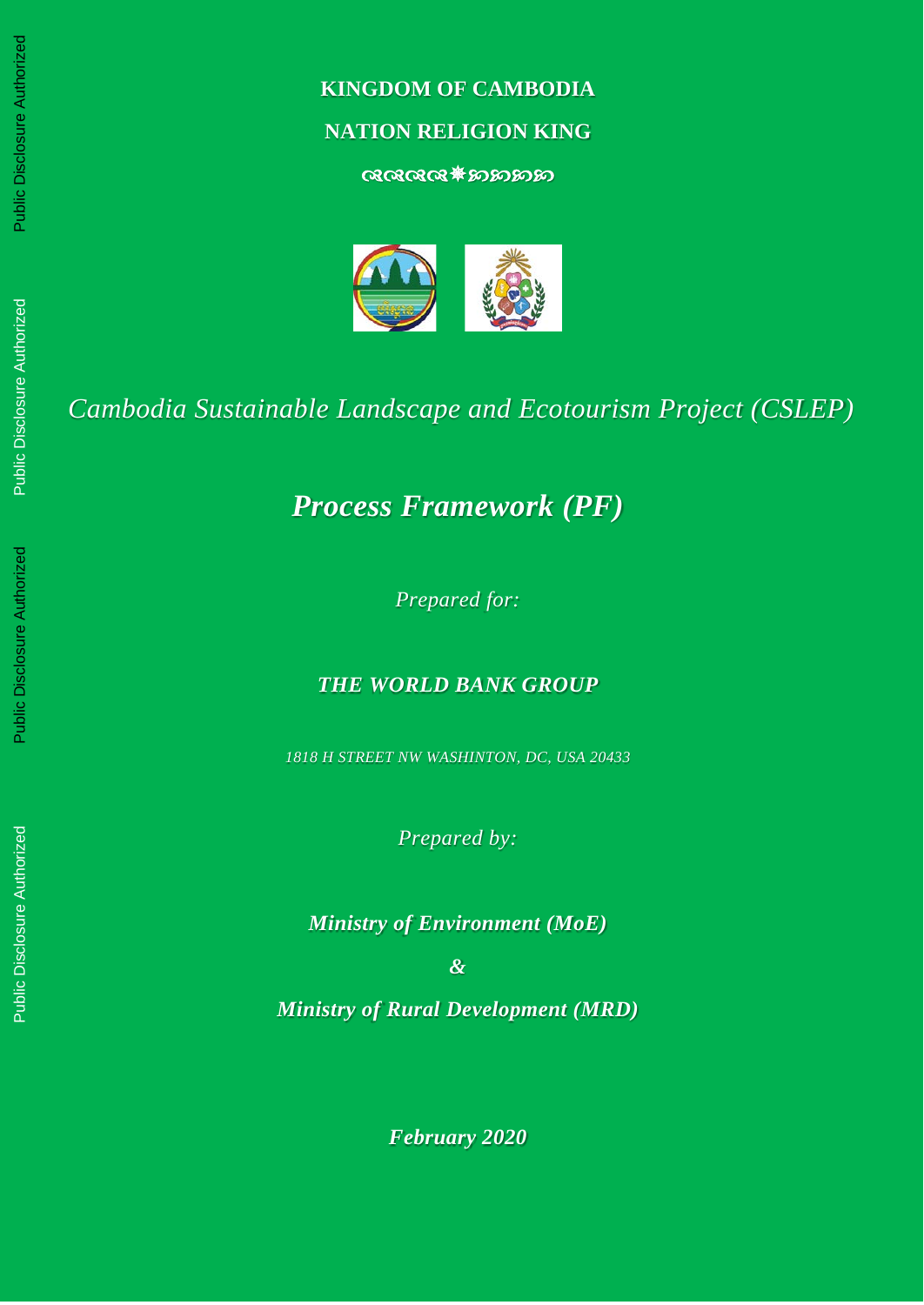# **KINGDOM OF CAMBODIA**

# **NATION RELIGION KING**

 $@@@@{\ast} $p$ 



*Cambodia Sustainable Landscape and Ecotourism Project (CSLEP)*

*Process Framework (PF)*

*Prepared for:* 

*THE WORLD BANK GROUP*

*1818 H STREET NW WASHINTON, DC, USA 20433*

*Prepared by:* 

*Ministry of Environment (MoE)*

*&*

*Ministry of Rural Development (MRD)*

*February 2020*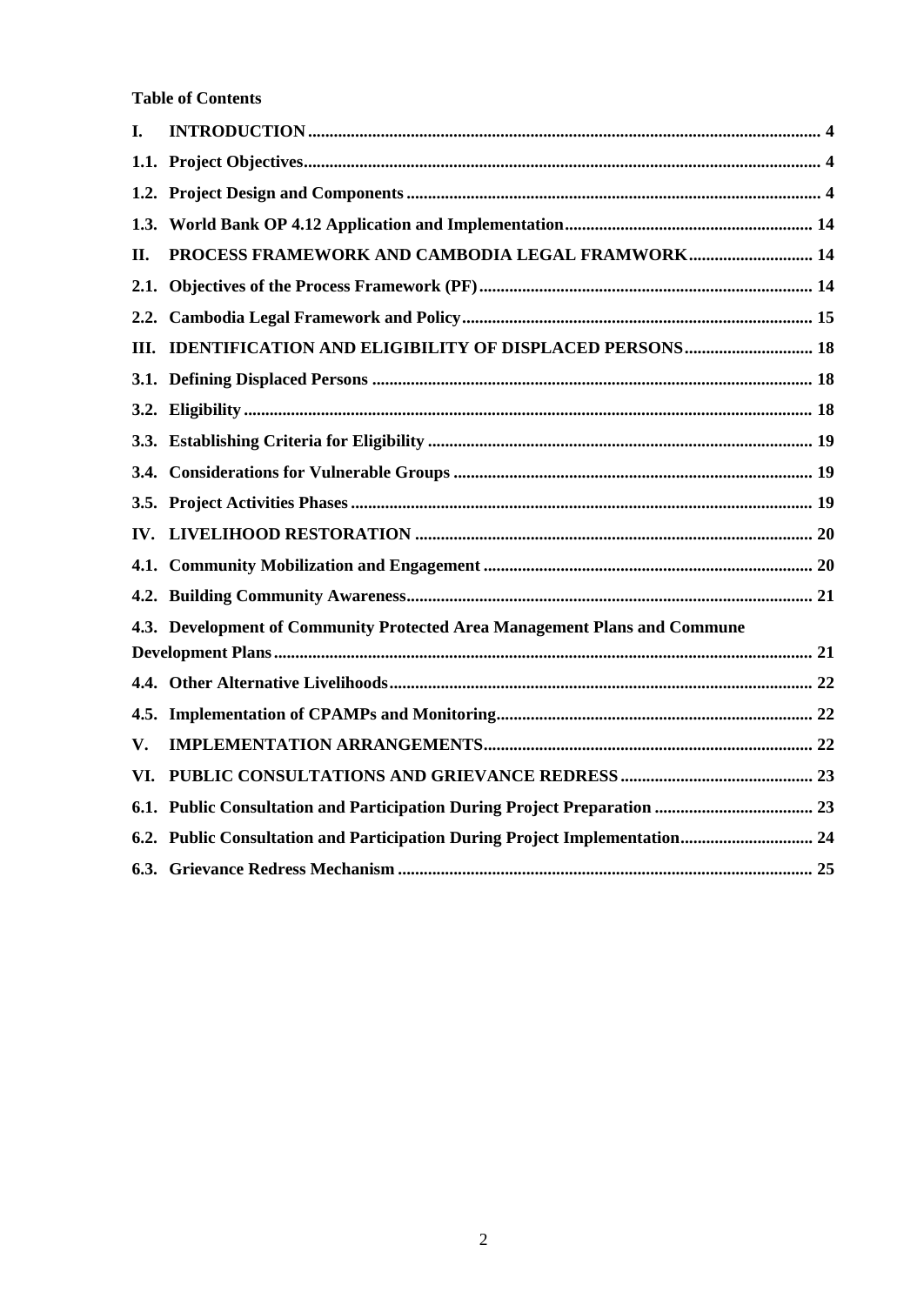**Table of Contents**

| I.  |                                                                             |  |
|-----|-----------------------------------------------------------------------------|--|
|     |                                                                             |  |
|     |                                                                             |  |
|     |                                                                             |  |
| П.  | PROCESS FRAMEWORK AND CAMBODIA LEGAL FRAMWORK 14                            |  |
|     |                                                                             |  |
|     |                                                                             |  |
|     | III. IDENTIFICATION AND ELIGIBILITY OF DISPLACED PERSONS 18                 |  |
|     |                                                                             |  |
|     |                                                                             |  |
|     |                                                                             |  |
|     |                                                                             |  |
|     |                                                                             |  |
|     |                                                                             |  |
|     |                                                                             |  |
|     |                                                                             |  |
|     | 4.3. Development of Community Protected Area Management Plans and Commune   |  |
|     |                                                                             |  |
|     |                                                                             |  |
|     |                                                                             |  |
| V.  |                                                                             |  |
| VI. |                                                                             |  |
|     |                                                                             |  |
|     | 6.2. Public Consultation and Participation During Project Implementation 24 |  |
|     |                                                                             |  |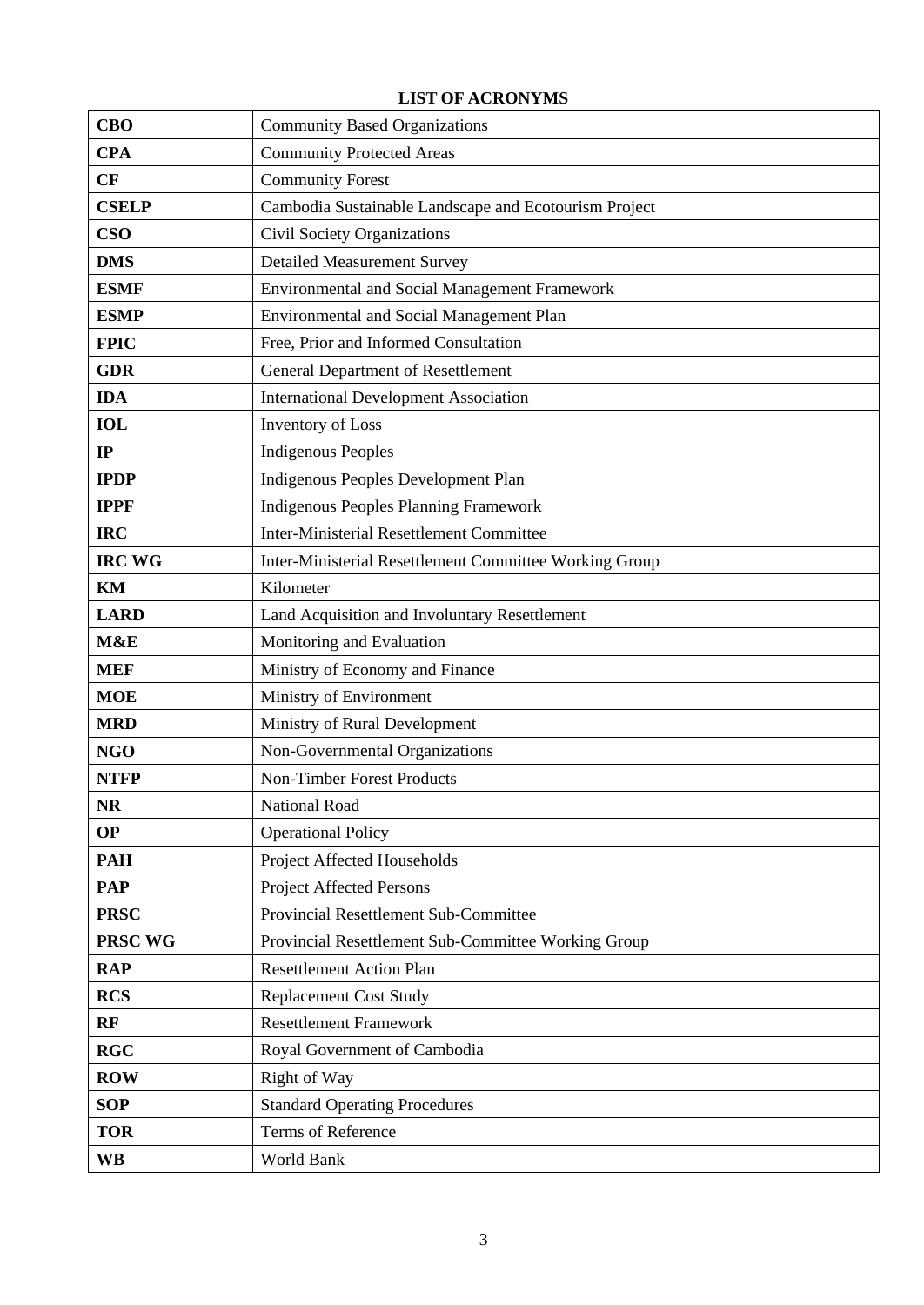# **LIST OF ACRONYMS**

| <b>CBO</b>    | <b>Community Based Organizations</b>                   |  |  |  |  |
|---------------|--------------------------------------------------------|--|--|--|--|
| <b>CPA</b>    | <b>Community Protected Areas</b>                       |  |  |  |  |
| CF            | <b>Community Forest</b>                                |  |  |  |  |
| <b>CSELP</b>  | Cambodia Sustainable Landscape and Ecotourism Project  |  |  |  |  |
| <b>CSO</b>    | Civil Society Organizations                            |  |  |  |  |
| <b>DMS</b>    | <b>Detailed Measurement Survey</b>                     |  |  |  |  |
| <b>ESMF</b>   | <b>Environmental and Social Management Framework</b>   |  |  |  |  |
| <b>ESMP</b>   | Environmental and Social Management Plan               |  |  |  |  |
| <b>FPIC</b>   | Free, Prior and Informed Consultation                  |  |  |  |  |
| <b>GDR</b>    | <b>General Department of Resettlement</b>              |  |  |  |  |
| <b>IDA</b>    | <b>International Development Association</b>           |  |  |  |  |
| <b>IOL</b>    | Inventory of Loss                                      |  |  |  |  |
| IP            | <b>Indigenous Peoples</b>                              |  |  |  |  |
| <b>IPDP</b>   | Indigenous Peoples Development Plan                    |  |  |  |  |
| <b>IPPF</b>   | <b>Indigenous Peoples Planning Framework</b>           |  |  |  |  |
| <b>IRC</b>    | <b>Inter-Ministerial Resettlement Committee</b>        |  |  |  |  |
| <b>IRC WG</b> | Inter-Ministerial Resettlement Committee Working Group |  |  |  |  |
| KM            | Kilometer                                              |  |  |  |  |
| <b>LARD</b>   | Land Acquisition and Involuntary Resettlement          |  |  |  |  |
| M&E           | Monitoring and Evaluation                              |  |  |  |  |
| <b>MEF</b>    | Ministry of Economy and Finance                        |  |  |  |  |
| <b>MOE</b>    | Ministry of Environment                                |  |  |  |  |
| <b>MRD</b>    | Ministry of Rural Development                          |  |  |  |  |
| <b>NGO</b>    | Non-Governmental Organizations                         |  |  |  |  |
| <b>NTFP</b>   | Non-Timber Forest Products                             |  |  |  |  |
| <b>NR</b>     | National Road                                          |  |  |  |  |
| <b>OP</b>     | <b>Operational Policy</b>                              |  |  |  |  |
| <b>PAH</b>    | Project Affected Households                            |  |  |  |  |
| <b>PAP</b>    | <b>Project Affected Persons</b>                        |  |  |  |  |
| <b>PRSC</b>   | Provincial Resettlement Sub-Committee                  |  |  |  |  |
| PRSC WG       | Provincial Resettlement Sub-Committee Working Group    |  |  |  |  |
| <b>RAP</b>    | <b>Resettlement Action Plan</b>                        |  |  |  |  |
| <b>RCS</b>    | <b>Replacement Cost Study</b>                          |  |  |  |  |
| RF            | <b>Resettlement Framework</b>                          |  |  |  |  |
| <b>RGC</b>    | Royal Government of Cambodia                           |  |  |  |  |
| <b>ROW</b>    | Right of Way                                           |  |  |  |  |
| <b>SOP</b>    | <b>Standard Operating Procedures</b>                   |  |  |  |  |
| <b>TOR</b>    | Terms of Reference                                     |  |  |  |  |
| <b>WB</b>     | World Bank                                             |  |  |  |  |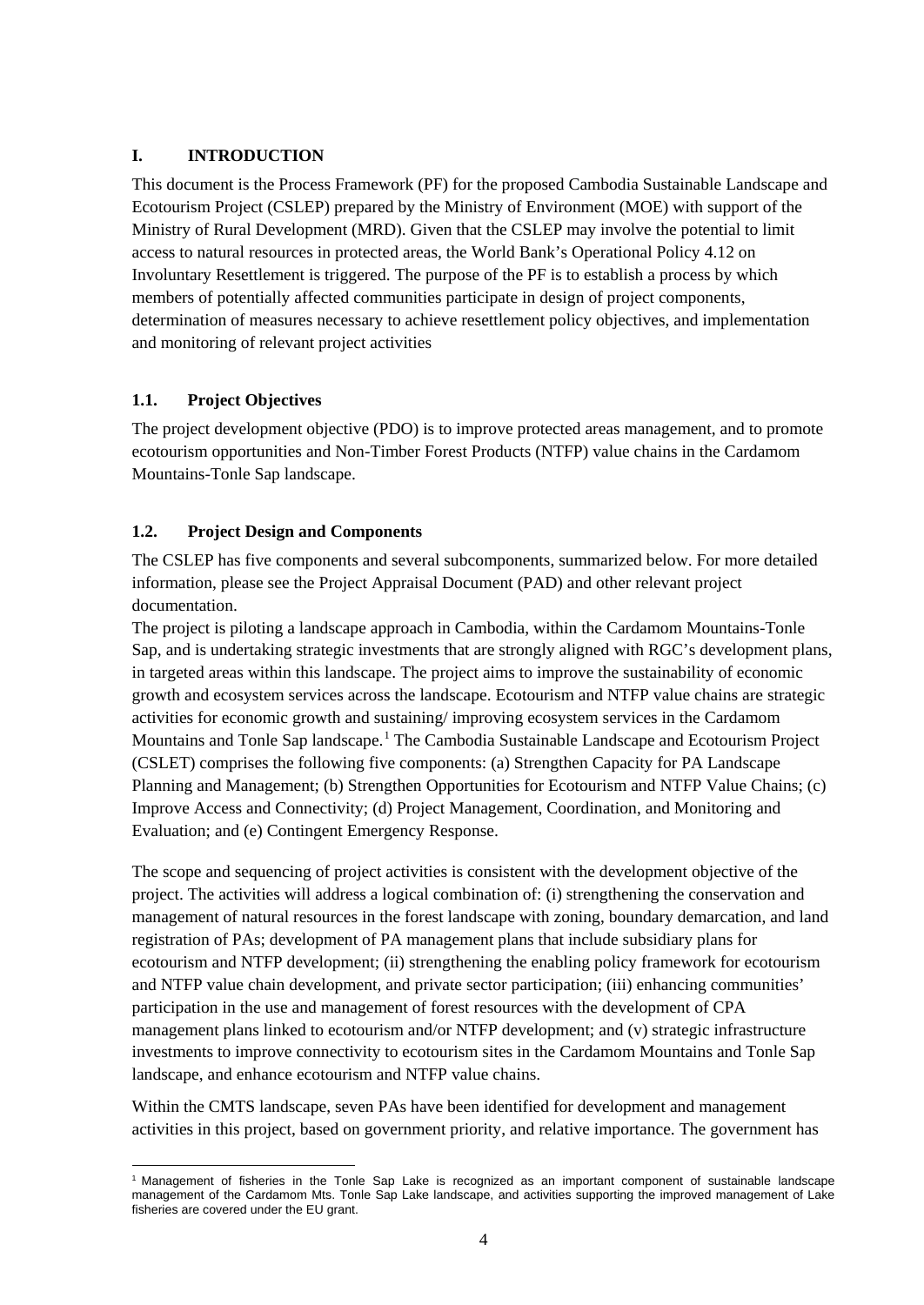# <span id="page-3-0"></span>**I. INTRODUCTION**

This document is the Process Framework (PF) for the proposed Cambodia Sustainable Landscape and Ecotourism Project (CSLEP) prepared by the Ministry of Environment (MOE) with support of the Ministry of Rural Development (MRD). Given that the CSLEP may involve the potential to limit access to natural resources in protected areas, the World Bank's Operational Policy 4.12 on Involuntary Resettlement is triggered. The purpose of the PF is to establish a process by which members of potentially affected communities participate in design of project components, determination of measures necessary to achieve resettlement policy objectives, and implementation and monitoring of relevant project activities

# <span id="page-3-1"></span>**1.1. Project Objectives**

The project development objective (PDO) is to improve protected areas management, and to promote ecotourism opportunities and Non-Timber Forest Products (NTFP) value chains in the Cardamom Mountains-Tonle Sap landscape.

# <span id="page-3-2"></span>**1.2. Project Design and Components**

The CSLEP has five components and several subcomponents, summarized below. For more detailed information, please see the Project Appraisal Document (PAD) and other relevant project documentation.

The project is piloting a landscape approach in Cambodia, within the Cardamom Mountains-Tonle Sap, and is undertaking strategic investments that are strongly aligned with RGC's development plans, in targeted areas within this landscape. The project aims to improve the sustainability of economic growth and ecosystem services across the landscape. Ecotourism and NTFP value chains are strategic activities for economic growth and sustaining/ improving ecosystem services in the Cardamom Mountains and Tonle Sap landscape.[1](#page-3-3) The Cambodia Sustainable Landscape and Ecotourism Project (CSLET) comprises the following five components: (a) Strengthen Capacity for PA Landscape Planning and Management; (b) Strengthen Opportunities for Ecotourism and NTFP Value Chains; (c) Improve Access and Connectivity; (d) Project Management, Coordination, and Monitoring and Evaluation; and (e) Contingent Emergency Response.

The scope and sequencing of project activities is consistent with the development objective of the project. The activities will address a logical combination of: (i) strengthening the conservation and management of natural resources in the forest landscape with zoning, boundary demarcation, and land registration of PAs; development of PA management plans that include subsidiary plans for ecotourism and NTFP development; (ii) strengthening the enabling policy framework for ecotourism and NTFP value chain development, and private sector participation; (iii) enhancing communities' participation in the use and management of forest resources with the development of CPA management plans linked to ecotourism and/or NTFP development; and (v) strategic infrastructure investments to improve connectivity to ecotourism sites in the Cardamom Mountains and Tonle Sap landscape, and enhance ecotourism and NTFP value chains.

Within the CMTS landscape, seven PAs have been identified for development and management activities in this project, based on government priority, and relative importance. The government has

<span id="page-3-3"></span> $\overline{a}$ <sup>1</sup> Management of fisheries in the Tonle Sap Lake is recognized as an important component of sustainable landscape management of the Cardamom Mts. Tonle Sap Lake landscape, and activities supporting the improved management of Lake fisheries are covered under the EU grant.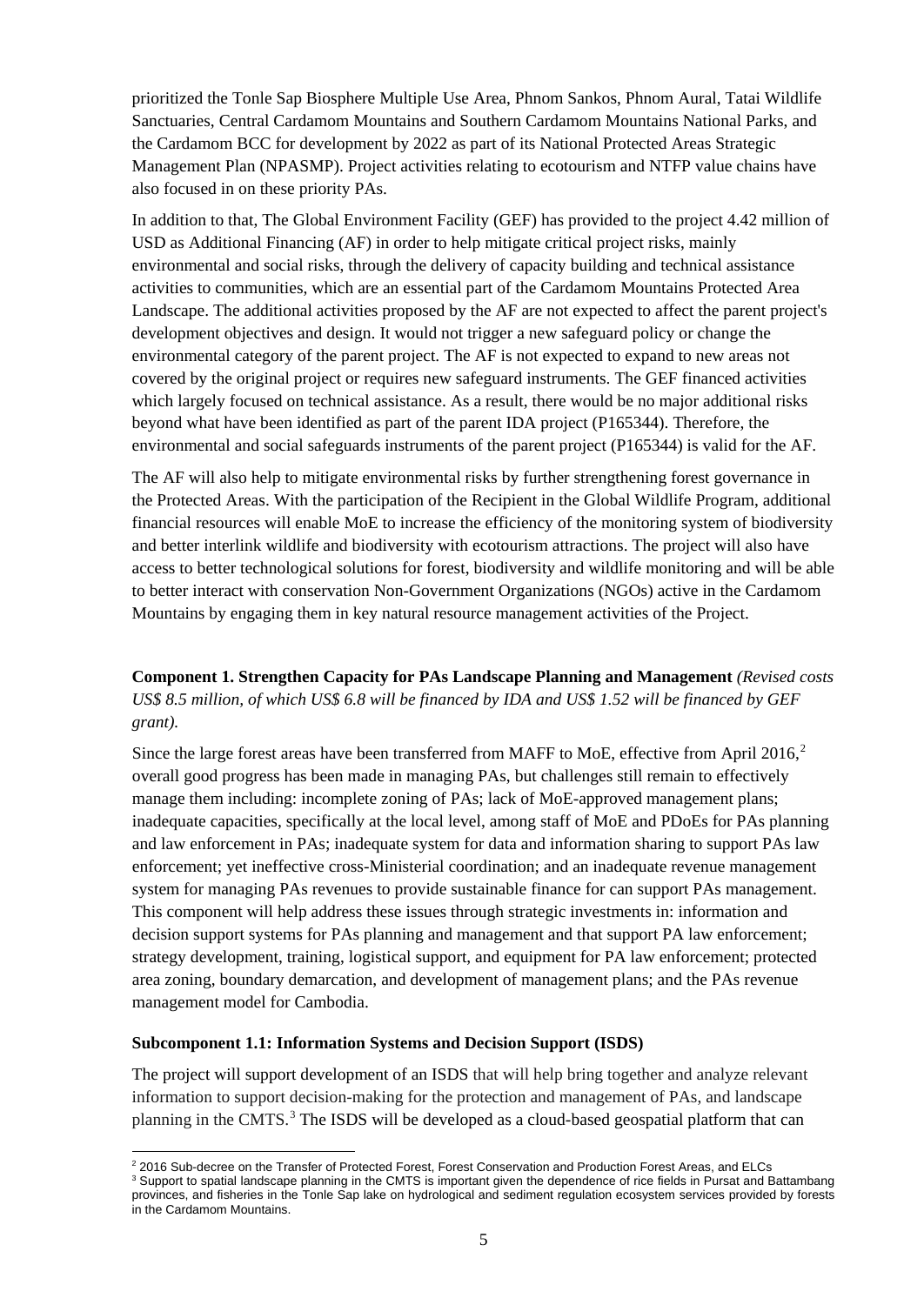prioritized the Tonle Sap Biosphere Multiple Use Area, Phnom Sankos, Phnom Aural, Tatai Wildlife Sanctuaries, Central Cardamom Mountains and Southern Cardamom Mountains National Parks, and the Cardamom BCC for development by 2022 as part of its National Protected Areas Strategic Management Plan (NPASMP). Project activities relating to ecotourism and NTFP value chains have also focused in on these priority PAs.

In addition to that, The Global Environment Facility (GEF) has provided to the project 4.42 million of USD as Additional Financing (AF) in order to help mitigate critical project risks, mainly environmental and social risks, through the delivery of capacity building and technical assistance activities to communities, which are an essential part of the Cardamom Mountains Protected Area Landscape. The additional activities proposed by the AF are not expected to affect the parent project's development objectives and design. It would not trigger a new safeguard policy or change the environmental category of the parent project. The AF is not expected to expand to new areas not covered by the original project or requires new safeguard instruments. The GEF financed activities which largely focused on technical assistance. As a result, there would be no major additional risks beyond what have been identified as part of the parent IDA project (P165344). Therefore, the environmental and social safeguards instruments of the parent project (P165344) is valid for the AF.

The AF will also help to mitigate environmental risks by further strengthening forest governance in the Protected Areas. With the participation of the Recipient in the Global Wildlife Program, additional financial resources will enable MoE to increase the efficiency of the monitoring system of biodiversity and better interlink wildlife and biodiversity with ecotourism attractions. The project will also have access to better technological solutions for forest, biodiversity and wildlife monitoring and will be able to better interact with conservation Non-Government Organizations (NGOs) active in the Cardamom Mountains by engaging them in key natural resource management activities of the Project.

# **Component 1. Strengthen Capacity for PAs Landscape Planning and Management** *(Revised costs US\$ 8.5 million, of which US\$ 6.8 will be financed by IDA and US\$ 1.52 will be financed by GEF grant).*

Since the large forest areas have been transferred from MAFF to MoE, effective from April [2](#page-4-0)016, $2$ overall good progress has been made in managing PAs, but challenges still remain to effectively manage them including: incomplete zoning of PAs; lack of MoE-approved management plans; inadequate capacities, specifically at the local level, among staff of MoE and PDoEs for PAs planning and law enforcement in PAs; inadequate system for data and information sharing to support PAs law enforcement; yet ineffective cross-Ministerial coordination; and an inadequate revenue management system for managing PAs revenues to provide sustainable finance for can support PAs management. This component will help address these issues through strategic investments in: information and decision support systems for PAs planning and management and that support PA law enforcement; strategy development, training, logistical support, and equipment for PA law enforcement; protected area zoning, boundary demarcation, and development of management plans; and the PAs revenue management model for Cambodia.

#### **Subcomponent 1.1: Information Systems and Decision Support (ISDS)**

The project will support development of an ISDS that will help bring together and analyze relevant information to support decision-making for the protection and management of PAs, and landscape planning in the CMTS.<sup>[3](#page-4-1)</sup> The ISDS will be developed as a cloud-based geospatial platform that can

 $\overline{a}$ <sup>2</sup> 2016 Sub-decree on the Transfer of Protected Forest, Forest Conservation and Production Forest Areas, and ELCs

<span id="page-4-1"></span><span id="page-4-0"></span><sup>&</sup>lt;sup>3</sup> Support to spatial landscape planning in the CMTS is important given the dependence of rice fields in Pursat and Battambang provinces, and fisheries in the Tonle Sap lake on hydrological and sediment regulation ecosystem services provided by forests in the Cardamom Mountains.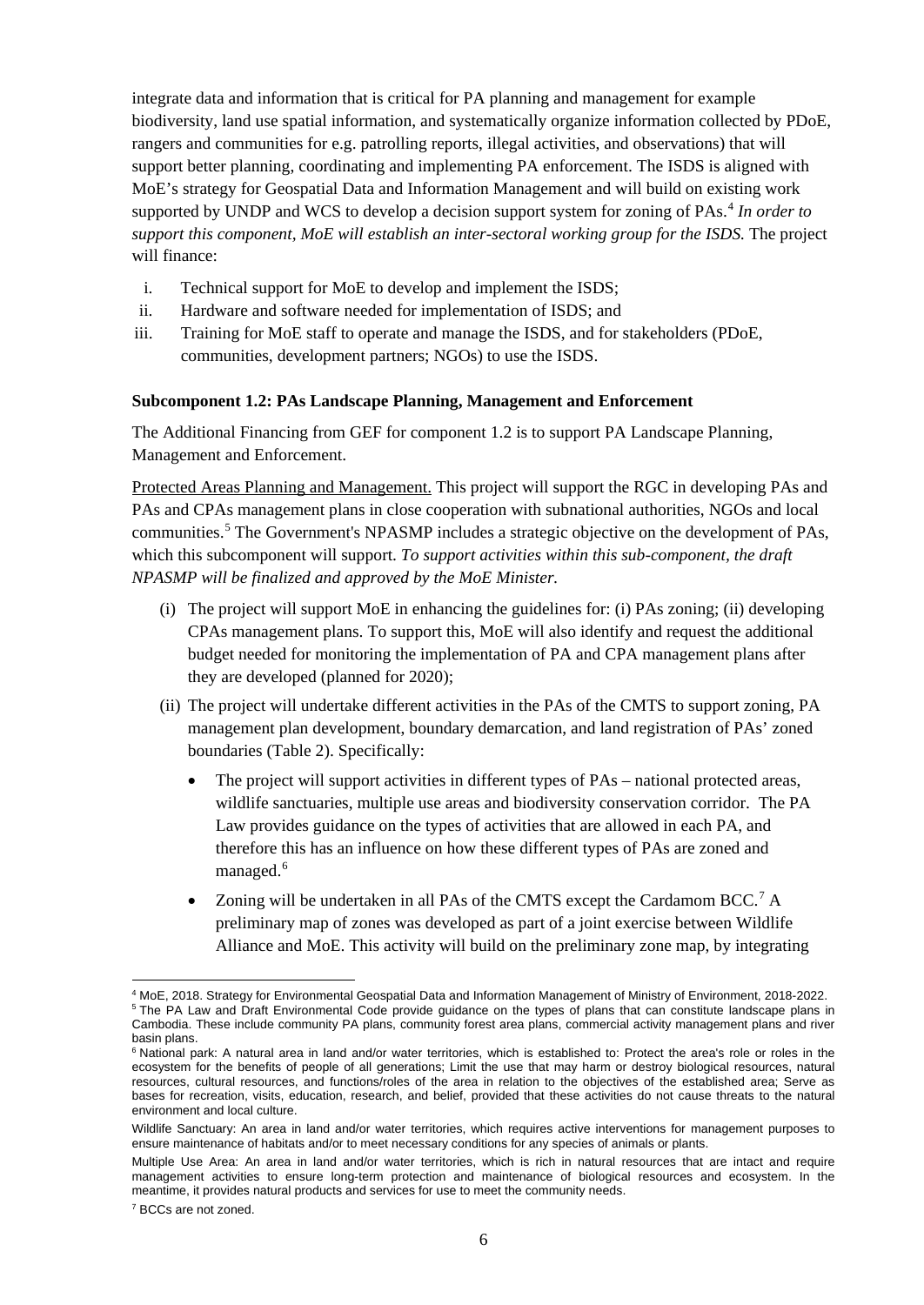integrate data and information that is critical for PA planning and management for example biodiversity, land use spatial information, and systematically organize information collected by PDoE, rangers and communities for e.g. patrolling reports, illegal activities, and observations) that will support better planning, coordinating and implementing PA enforcement. The ISDS is aligned with MoE's strategy for Geospatial Data and Information Management and will build on existing work supported by UNDP and WCS to develop a decision support system for zoning of PAs.<sup>[4](#page-5-0)</sup> In order to *support this component, MoE will establish an inter-sectoral working group for the ISDS.* The project will finance:

- i. Technical support for MoE to develop and implement the ISDS;
- ii. Hardware and software needed for implementation of ISDS; and
- iii. Training for MoE staff to operate and manage the ISDS, and for stakeholders (PDoE, communities, development partners; NGOs) to use the ISDS.

#### **Subcomponent 1.2: PAs Landscape Planning, Management and Enforcement**

The Additional Financing from GEF for component 1.2 is to support PA Landscape Planning, Management and Enforcement.

Protected Areas Planning and Management. This project will support the RGC in developing PAs and PAs and CPAs management plans in close cooperation with subnational authorities, NGOs and local communities.<sup>[5](#page-5-1)</sup> The Government's NPASMP includes a strategic objective on the development of PAs, which this subcomponent will support. *To support activities within this sub-component, the draft NPASMP will be finalized and approved by the MoE Minister.*

- (i) The project will support MoE in enhancing the guidelines for: (i) PAs zoning; (ii) developing CPAs management plans. To support this, MoE will also identify and request the additional budget needed for monitoring the implementation of PA and CPA management plans after they are developed (planned for 2020);
- (ii) The project will undertake different activities in the PAs of the CMTS to support zoning, PA management plan development, boundary demarcation, and land registration of PAs' zoned boundaries (Table 2). Specifically:
	- The project will support activities in different types of PAs national protected areas, wildlife sanctuaries, multiple use areas and biodiversity conservation corridor. The PA Law provides guidance on the types of activities that are allowed in each PA, and therefore this has an influence on how these different types of PAs are zoned and managed.<sup>[6](#page-5-2)</sup>
	- Zoning will be undertaken in all PAs of the CMTS except the Cardamom BCC.<sup>[7](#page-5-3)</sup> A preliminary map of zones was developed as part of a joint exercise between Wildlife Alliance and MoE. This activity will build on the preliminary zone map, by integrating

 $\overline{a}$ 

<span id="page-5-1"></span><span id="page-5-0"></span><sup>4</sup> MoE, 2018. Strategy for Environmental Geospatial Data and Information Management of Ministry of Environment, 2018-2022. <sup>5</sup> The PA Law and Draft Environmental Code provide quidance on the types of plans that can constitute landscape plans in Cambodia. These include community PA plans, community forest area plans, commercial activity management plans and river basin plans.

<span id="page-5-2"></span><sup>&</sup>lt;sup>6</sup> National park: A natural area in land and/or water territories, which is established to: Protect the area's role or roles in the ecosystem for the benefits of people of all generations; Limit the use that may harm or destroy biological resources, natural resources, cultural resources, and functions/roles of the area in relation to the objectives of the established area; Serve as bases for recreation, visits, education, research, and belief, provided that these activities do not cause threats to the natural environment and local culture.

Wildlife Sanctuary: An area in land and/or water territories, which requires active interventions for management purposes to ensure maintenance of habitats and/or to meet necessary conditions for any species of animals or plants.

Multiple Use Area: An area in land and/or water territories, which is rich in natural resources that are intact and require management activities to ensure long-term protection and maintenance of biological resources and ecosystem. In the meantime, it provides natural products and services for use to meet the community needs.

<span id="page-5-3"></span><sup>7</sup> BCCs are not zoned.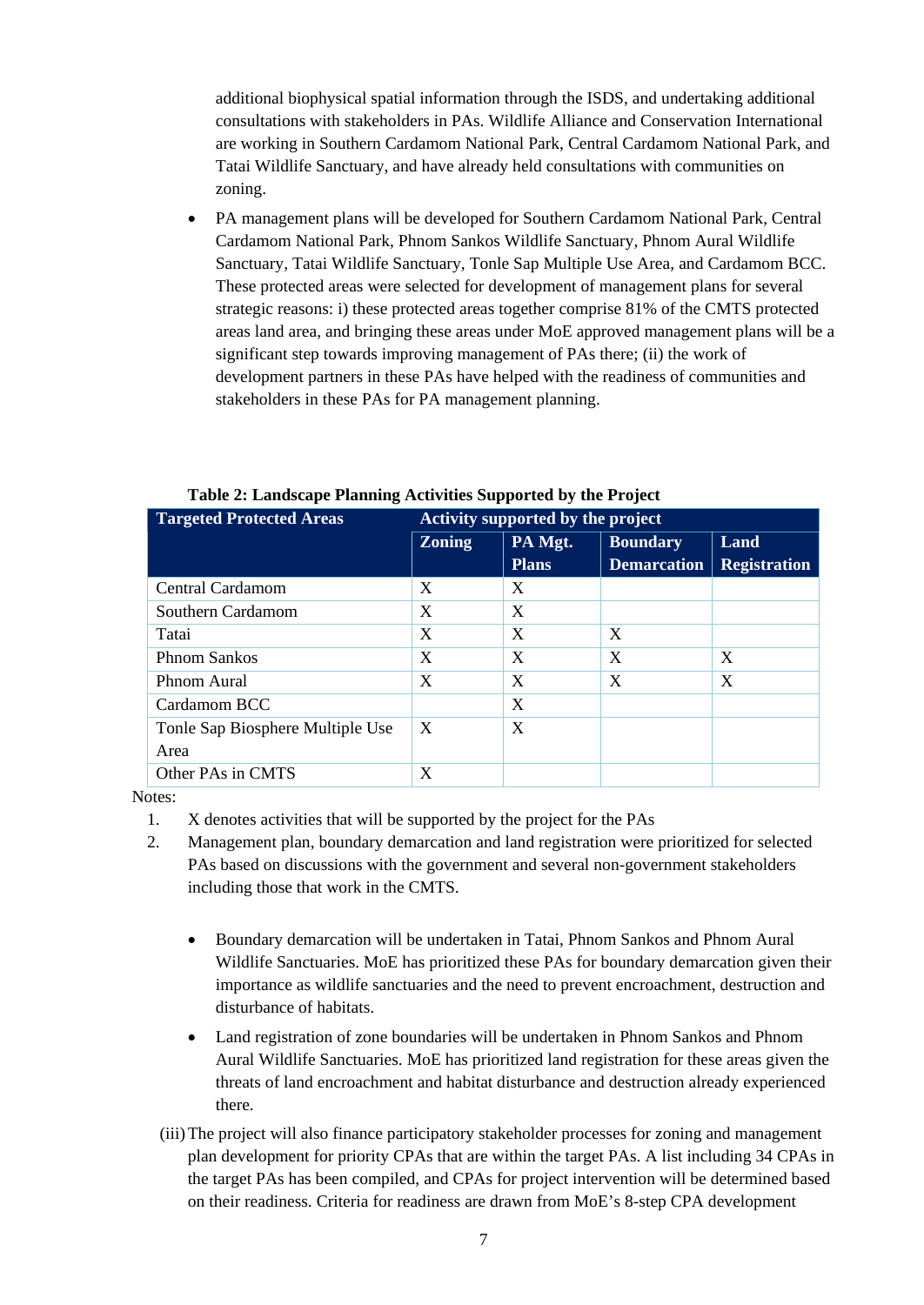additional biophysical spatial information through the ISDS, and undertaking additional consultations with stakeholders in PAs. Wildlife Alliance and Conservation International are working in Southern Cardamom National Park, Central Cardamom National Park, and Tatai Wildlife Sanctuary, and have already held consultations with communities on zoning.

• PA management plans will be developed for Southern Cardamom National Park, Central Cardamom National Park, Phnom Sankos Wildlife Sanctuary, Phnom Aural Wildlife Sanctuary, Tatai Wildlife Sanctuary, Tonle Sap Multiple Use Area, and Cardamom BCC. These protected areas were selected for development of management plans for several strategic reasons: i) these protected areas together comprise 81% of the CMTS protected areas land area, and bringing these areas under MoE approved management plans will be a significant step towards improving management of PAs there; (ii) the work of development partners in these PAs have helped with the readiness of communities and stakeholders in these PAs for PA management planning.

| <b>Targeted Protected Areas</b>  | Activity supported by the project |              |                    |                     |  |
|----------------------------------|-----------------------------------|--------------|--------------------|---------------------|--|
|                                  | <b>Zoning</b>                     | PA Mgt.      | <b>Boundary</b>    | <b>Land</b>         |  |
|                                  |                                   | <b>Plans</b> | <b>Demarcation</b> | <b>Registration</b> |  |
| Central Cardamom                 | X                                 | X            |                    |                     |  |
| Southern Cardamom                | X                                 | X            |                    |                     |  |
| Tatai                            | X                                 | X            | X                  |                     |  |
| <b>Phnom Sankos</b>              | X                                 | X            | X                  | X                   |  |
| Phnom Aural                      | X                                 | X            | X                  | X                   |  |
| Cardamom BCC                     |                                   | X            |                    |                     |  |
| Tonle Sap Biosphere Multiple Use | $\boldsymbol{X}$                  | X            |                    |                     |  |
| Area                             |                                   |              |                    |                     |  |
| Other PAs in CMTS                | X                                 |              |                    |                     |  |

#### **Table 2: Landscape Planning Activities Supported by the Project**

Notes:

- 1. X denotes activities that will be supported by the project for the PAs
- 2. Management plan, boundary demarcation and land registration were prioritized for selected PAs based on discussions with the government and several non-government stakeholders including those that work in the CMTS.
	- Boundary demarcation will be undertaken in Tatai, Phnom Sankos and Phnom Aural Wildlife Sanctuaries. MoE has prioritized these PAs for boundary demarcation given their importance as wildlife sanctuaries and the need to prevent encroachment, destruction and disturbance of habitats.
	- Land registration of zone boundaries will be undertaken in Phnom Sankos and Phnom Aural Wildlife Sanctuaries. MoE has prioritized land registration for these areas given the threats of land encroachment and habitat disturbance and destruction already experienced there.
	- (iii)The project will also finance participatory stakeholder processes for zoning and management plan development for priority CPAs that are within the target PAs. A list including 34 CPAs in the target PAs has been compiled, and CPAs for project intervention will be determined based on their readiness. Criteria for readiness are drawn from MoE's 8-step CPA development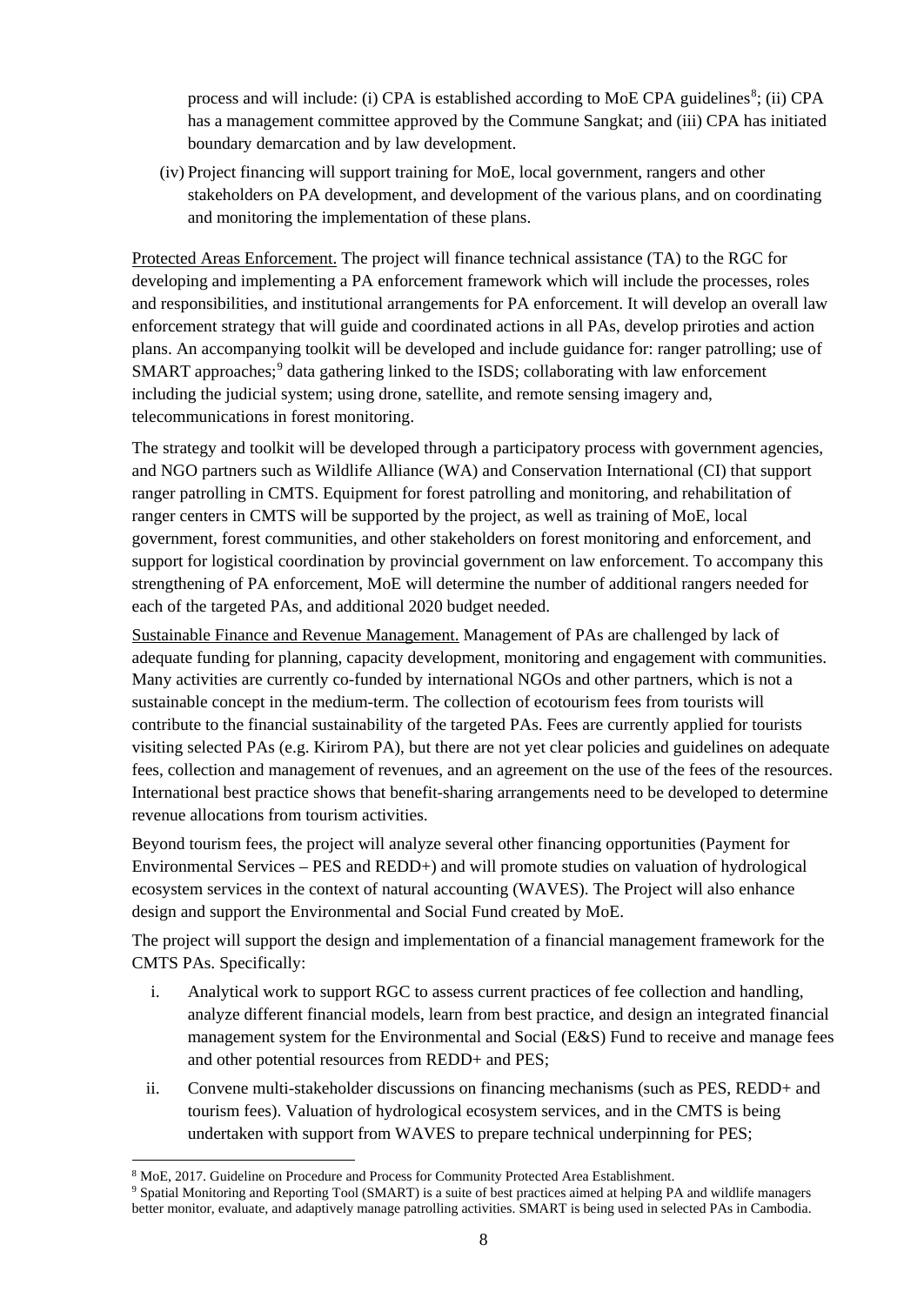process and will include: (i) CPA is established according to MoE CPA guidelines<sup>[8](#page-7-0)</sup>; (ii) CPA has a management committee approved by the Commune Sangkat; and (iii) CPA has initiated boundary demarcation and by law development.

(iv) Project financing will support training for MoE, local government, rangers and other stakeholders on PA development, and development of the various plans, and on coordinating and monitoring the implementation of these plans.

Protected Areas Enforcement. The project will finance technical assistance (TA) to the RGC for developing and implementing a PA enforcement framework which will include the processes, roles and responsibilities, and institutional arrangements for PA enforcement. It will develop an overall law enforcement strategy that will guide and coordinated actions in all PAs, develop priroties and action plans. An accompanying toolkit will be developed and include guidance for: ranger patrolling; use of SMART approaches;<sup>[9](#page-7-1)</sup> data gathering linked to the ISDS; collaborating with law enforcement including the judicial system; using drone, satellite, and remote sensing imagery and, telecommunications in forest monitoring.

The strategy and toolkit will be developed through a participatory process with government agencies, and NGO partners such as Wildlife Alliance (WA) and Conservation International (CI) that support ranger patrolling in CMTS. Equipment for forest patrolling and monitoring, and rehabilitation of ranger centers in CMTS will be supported by the project, as well as training of MoE, local government, forest communities, and other stakeholders on forest monitoring and enforcement, and support for logistical coordination by provincial government on law enforcement. To accompany this strengthening of PA enforcement, MoE will determine the number of additional rangers needed for each of the targeted PAs, and additional 2020 budget needed.

Sustainable Finance and Revenue Management. Management of PAs are challenged by lack of adequate funding for planning, capacity development, monitoring and engagement with communities. Many activities are currently co-funded by international NGOs and other partners, which is not a sustainable concept in the medium-term. The collection of ecotourism fees from tourists will contribute to the financial sustainability of the targeted PAs. Fees are currently applied for tourists visiting selected PAs (e.g. Kirirom PA), but there are not yet clear policies and guidelines on adequate fees, collection and management of revenues, and an agreement on the use of the fees of the resources. International best practice shows that benefit-sharing arrangements need to be developed to determine revenue allocations from tourism activities.

Beyond tourism fees, the project will analyze several other financing opportunities (Payment for Environmental Services – PES and REDD+) and will promote studies on valuation of hydrological ecosystem services in the context of natural accounting (WAVES). The Project will also enhance design and support the Environmental and Social Fund created by MoE.

The project will support the design and implementation of a financial management framework for the CMTS PAs. Specifically:

- i. Analytical work to support RGC to assess current practices of fee collection and handling, analyze different financial models, learn from best practice, and design an integrated financial management system for the Environmental and Social (E&S) Fund to receive and manage fees and other potential resources from REDD+ and PES;
- ii. Convene multi-stakeholder discussions on financing mechanisms (such as PES, REDD+ and tourism fees). Valuation of hydrological ecosystem services, and in the CMTS is being undertaken with support from WAVES to prepare technical underpinning for PES;

<span id="page-7-0"></span> <sup>8</sup> MoE, 2017. Guideline on Procedure and Process for Community Protected Area Establishment.

<span id="page-7-1"></span><sup>9</sup> Spatial Monitoring and Reporting Tool (SMART) is a suite of best practices aimed at helping PA and wildlife managers better monitor, evaluate, and adaptively manage patrolling activities. SMART is being used in selected PAs in Cambodia.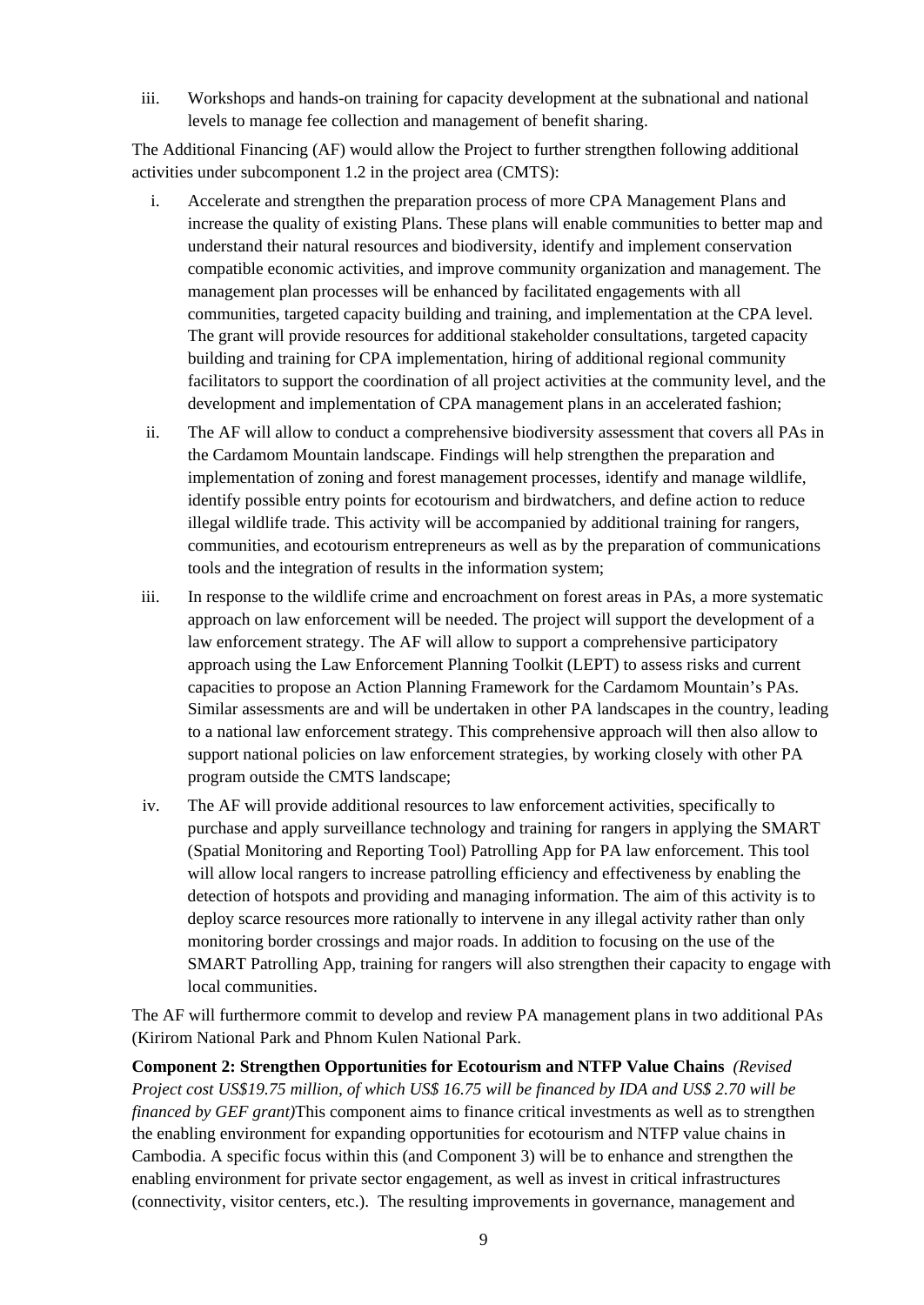iii. Workshops and hands-on training for capacity development at the subnational and national levels to manage fee collection and management of benefit sharing.

The Additional Financing (AF) would allow the Project to further strengthen following additional activities under subcomponent 1.2 in the project area (CMTS):

- i. Accelerate and strengthen the preparation process of more CPA Management Plans and increase the quality of existing Plans. These plans will enable communities to better map and understand their natural resources and biodiversity, identify and implement conservation compatible economic activities, and improve community organization and management. The management plan processes will be enhanced by facilitated engagements with all communities, targeted capacity building and training, and implementation at the CPA level. The grant will provide resources for additional stakeholder consultations, targeted capacity building and training for CPA implementation, hiring of additional regional community facilitators to support the coordination of all project activities at the community level, and the development and implementation of CPA management plans in an accelerated fashion;
- ii. The AF will allow to conduct a comprehensive biodiversity assessment that covers all PAs in the Cardamom Mountain landscape. Findings will help strengthen the preparation and implementation of zoning and forest management processes, identify and manage wildlife, identify possible entry points for ecotourism and birdwatchers, and define action to reduce illegal wildlife trade. This activity will be accompanied by additional training for rangers, communities, and ecotourism entrepreneurs as well as by the preparation of communications tools and the integration of results in the information system;
- iii. In response to the wildlife crime and encroachment on forest areas in PAs, a more systematic approach on law enforcement will be needed. The project will support the development of a law enforcement strategy. The AF will allow to support a comprehensive participatory approach using the Law Enforcement Planning Toolkit (LEPT) to assess risks and current capacities to propose an Action Planning Framework for the Cardamom Mountain's PAs. Similar assessments are and will be undertaken in other PA landscapes in the country, leading to a national law enforcement strategy. This comprehensive approach will then also allow to support national policies on law enforcement strategies, by working closely with other PA program outside the CMTS landscape;
- iv. The AF will provide additional resources to law enforcement activities, specifically to purchase and apply surveillance technology and training for rangers in applying the SMART (Spatial Monitoring and Reporting Tool) Patrolling App for PA law enforcement. This tool will allow local rangers to increase patrolling efficiency and effectiveness by enabling the detection of hotspots and providing and managing information. The aim of this activity is to deploy scarce resources more rationally to intervene in any illegal activity rather than only monitoring border crossings and major roads. In addition to focusing on the use of the SMART Patrolling App, training for rangers will also strengthen their capacity to engage with local communities.

The AF will furthermore commit to develop and review PA management plans in two additional PAs (Kirirom National Park and Phnom Kulen National Park.

**Component 2: Strengthen Opportunities for Ecotourism and NTFP Value Chains** *(Revised Project cost US\$19.75 million, of which US\$ 16.75 will be financed by IDA and US\$ 2.70 will be financed by GEF grant)*This component aims to finance critical investments as well as to strengthen the enabling environment for expanding opportunities for ecotourism and NTFP value chains in Cambodia. A specific focus within this (and Component 3) will be to enhance and strengthen the enabling environment for private sector engagement, as well as invest in critical infrastructures (connectivity, visitor centers, etc.). The resulting improvements in governance, management and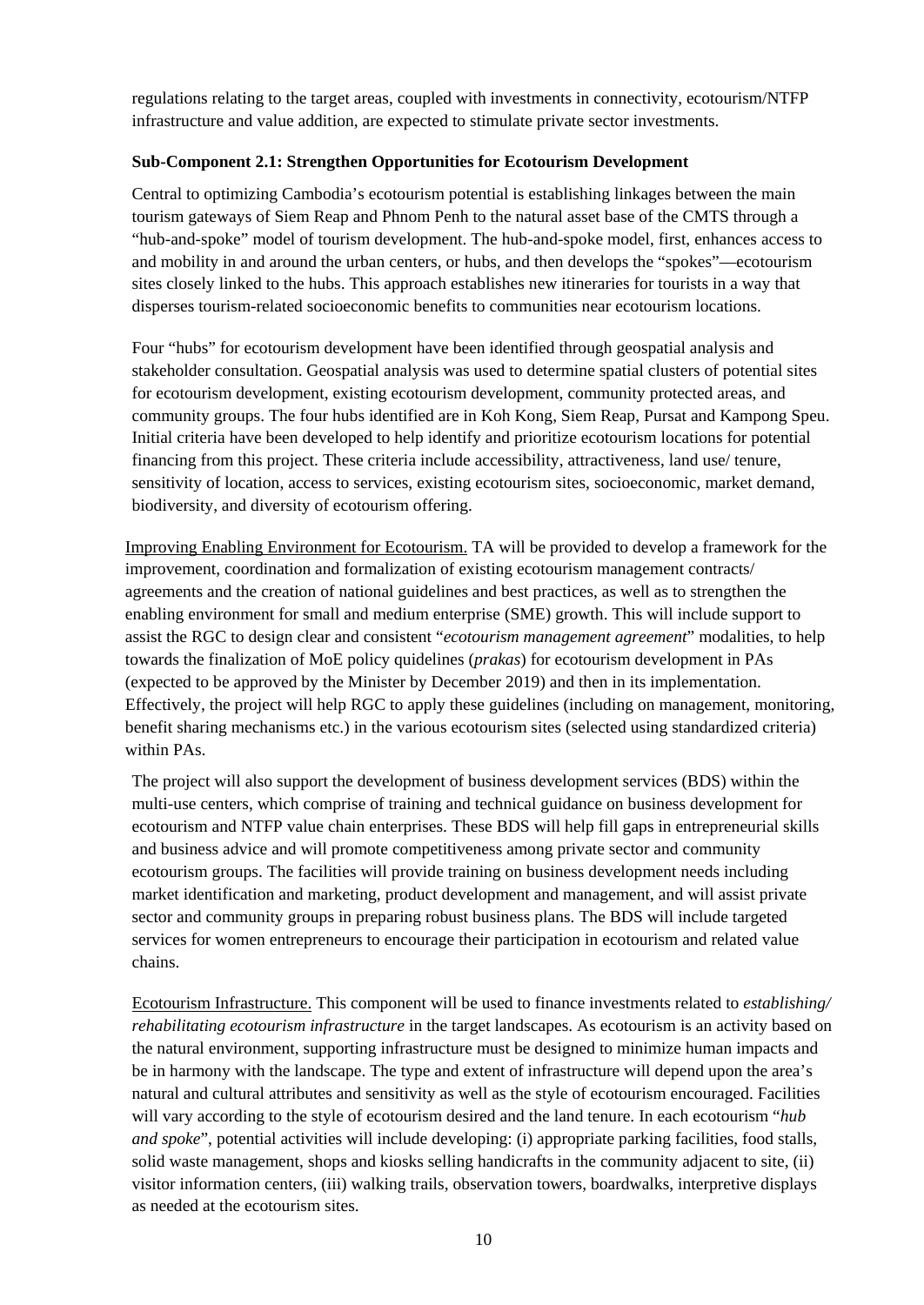regulations relating to the target areas, coupled with investments in connectivity, ecotourism/NTFP infrastructure and value addition, are expected to stimulate private sector investments.

#### **Sub-Component 2.1: Strengthen Opportunities for Ecotourism Development**

Central to optimizing Cambodia's ecotourism potential is establishing linkages between the main tourism gateways of Siem Reap and Phnom Penh to the natural asset base of the CMTS through a "hub-and-spoke" model of tourism development. The hub-and-spoke model, first, enhances access to and mobility in and around the urban centers, or hubs, and then develops the "spokes"—ecotourism sites closely linked to the hubs. This approach establishes new itineraries for tourists in a way that disperses tourism-related socioeconomic benefits to communities near ecotourism locations.

Four "hubs" for ecotourism development have been identified through geospatial analysis and stakeholder consultation. Geospatial analysis was used to determine spatial clusters of potential sites for ecotourism development, existing ecotourism development, community protected areas, and community groups. The four hubs identified are in Koh Kong, Siem Reap, Pursat and Kampong Speu. Initial criteria have been developed to help identify and prioritize ecotourism locations for potential financing from this project. These criteria include accessibility, attractiveness, land use/ tenure, sensitivity of location, access to services, existing ecotourism sites, socioeconomic, market demand, biodiversity, and diversity of ecotourism offering.

Improving Enabling Environment for Ecotourism. TA will be provided to develop a framework for the improvement, coordination and formalization of existing ecotourism management contracts/ agreements and the creation of national guidelines and best practices, as well as to strengthen the enabling environment for small and medium enterprise (SME) growth. This will include support to assist the RGC to design clear and consistent "*ecotourism management agreement*" modalities, to help towards the finalization of MoE policy quidelines (*prakas*) for ecotourism development in PAs (expected to be approved by the Minister by December 2019) and then in its implementation. Effectively, the project will help RGC to apply these guidelines (including on management, monitoring, benefit sharing mechanisms etc.) in the various ecotourism sites (selected using standardized criteria) within PAs.

The project will also support the development of business development services (BDS) within the multi-use centers, which comprise of training and technical guidance on business development for ecotourism and NTFP value chain enterprises. These BDS will help fill gaps in entrepreneurial skills and business advice and will promote competitiveness among private sector and community ecotourism groups. The facilities will provide training on business development needs including market identification and marketing, product development and management, and will assist private sector and community groups in preparing robust business plans. The BDS will include targeted services for women entrepreneurs to encourage their participation in ecotourism and related value chains.

Ecotourism Infrastructure. This component will be used to finance investments related to *establishing/ rehabilitating ecotourism infrastructure* in the target landscapes. As ecotourism is an activity based on the natural environment, supporting infrastructure must be designed to minimize human impacts and be in harmony with the landscape. The type and extent of infrastructure will depend upon the area's natural and cultural attributes and sensitivity as well as the style of ecotourism encouraged. Facilities will vary according to the style of ecotourism desired and the land tenure. In each ecotourism "*hub and spoke*", potential activities will include developing: (i) appropriate parking facilities, food stalls, solid waste management, shops and kiosks selling handicrafts in the community adjacent to site, (ii) visitor information centers, (iii) walking trails, observation towers, boardwalks, interpretive displays as needed at the ecotourism sites.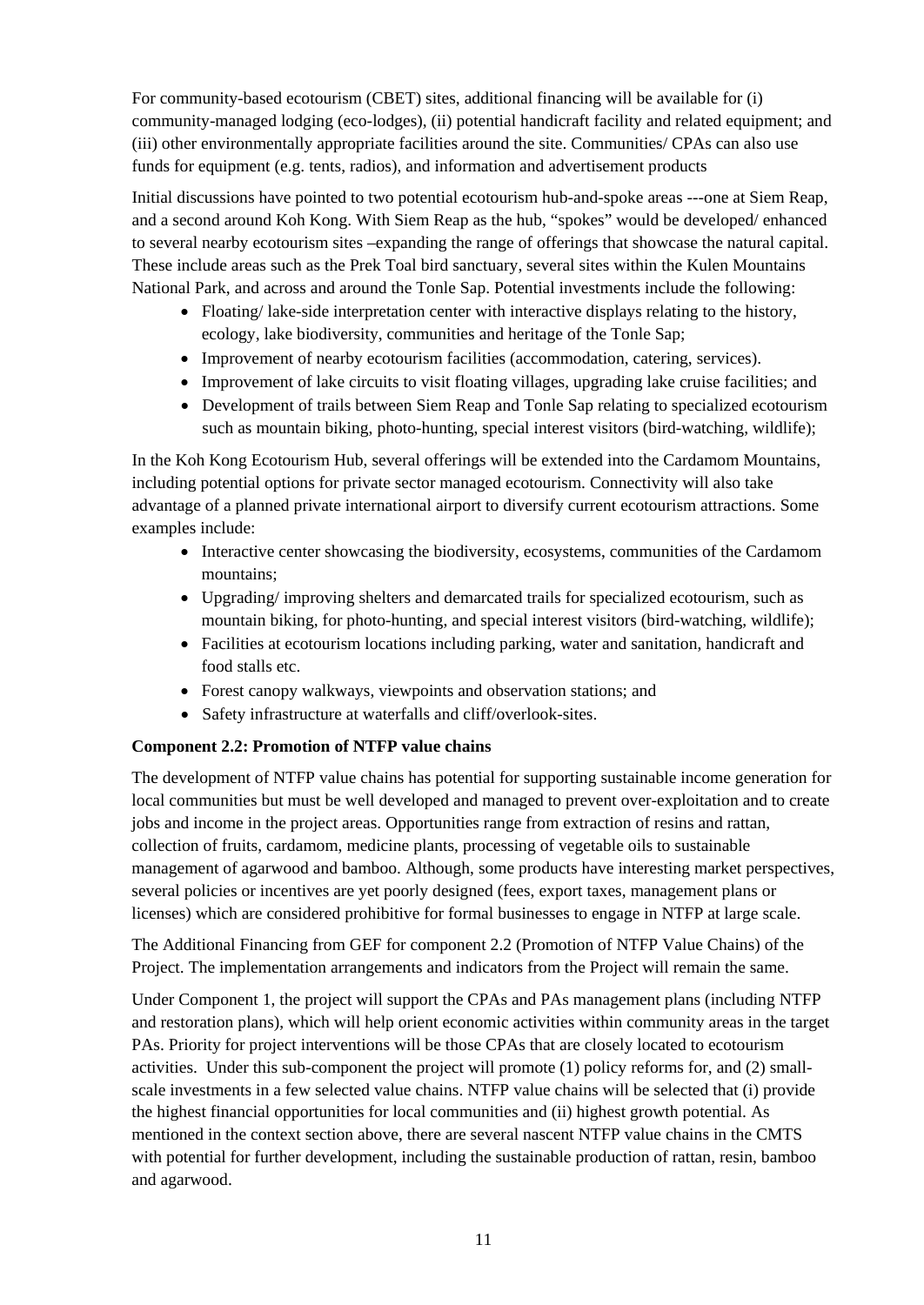For community-based ecotourism (CBET) sites, additional financing will be available for (i) community-managed lodging (eco-lodges), (ii) potential handicraft facility and related equipment; and (iii) other environmentally appropriate facilities around the site. Communities/ CPAs can also use funds for equipment (e.g. tents, radios), and information and advertisement products

Initial discussions have pointed to two potential ecotourism hub-and-spoke areas ---one at Siem Reap, and a second around Koh Kong. With Siem Reap as the hub, "spokes" would be developed/ enhanced to several nearby ecotourism sites –expanding the range of offerings that showcase the natural capital. These include areas such as the Prek Toal bird sanctuary, several sites within the Kulen Mountains National Park, and across and around the Tonle Sap. Potential investments include the following:

- Floating/ lake-side interpretation center with interactive displays relating to the history, ecology, lake biodiversity, communities and heritage of the Tonle Sap;
- Improvement of nearby ecotourism facilities (accommodation, catering, services).
- Improvement of lake circuits to visit floating villages, upgrading lake cruise facilities; and
- Development of trails between Siem Reap and Tonle Sap relating to specialized ecotourism such as mountain biking, photo-hunting, special interest visitors (bird-watching, wildlife);

In the Koh Kong Ecotourism Hub, several offerings will be extended into the Cardamom Mountains, including potential options for private sector managed ecotourism. Connectivity will also take advantage of a planned private international airport to diversify current ecotourism attractions. Some examples include:

- Interactive center showcasing the biodiversity, ecosystems, communities of the Cardamom mountains;
- Upgrading/ improving shelters and demarcated trails for specialized ecotourism, such as mountain biking, for photo-hunting, and special interest visitors (bird-watching, wildlife);
- Facilities at ecotourism locations including parking, water and sanitation, handicraft and food stalls etc.
- Forest canopy walkways, viewpoints and observation stations; and
- Safety infrastructure at waterfalls and cliff/overlook-sites.

#### **Component 2.2: Promotion of NTFP value chains**

The development of NTFP value chains has potential for supporting sustainable income generation for local communities but must be well developed and managed to prevent over-exploitation and to create jobs and income in the project areas. Opportunities range from extraction of resins and rattan, collection of fruits, cardamom, medicine plants, processing of vegetable oils to sustainable management of agarwood and bamboo. Although, some products have interesting market perspectives, several policies or incentives are yet poorly designed (fees, export taxes, management plans or licenses) which are considered prohibitive for formal businesses to engage in NTFP at large scale.

The Additional Financing from GEF for component 2.2 (Promotion of NTFP Value Chains) of the Project. The implementation arrangements and indicators from the Project will remain the same.

Under Component 1, the project will support the CPAs and PAs management plans (including NTFP and restoration plans), which will help orient economic activities within community areas in the target PAs. Priority for project interventions will be those CPAs that are closely located to ecotourism activities. Under this sub-component the project will promote (1) policy reforms for, and (2) smallscale investments in a few selected value chains. NTFP value chains will be selected that (i) provide the highest financial opportunities for local communities and (ii) highest growth potential. As mentioned in the context section above, there are several nascent NTFP value chains in the CMTS with potential for further development, including the sustainable production of rattan, resin, bamboo and agarwood.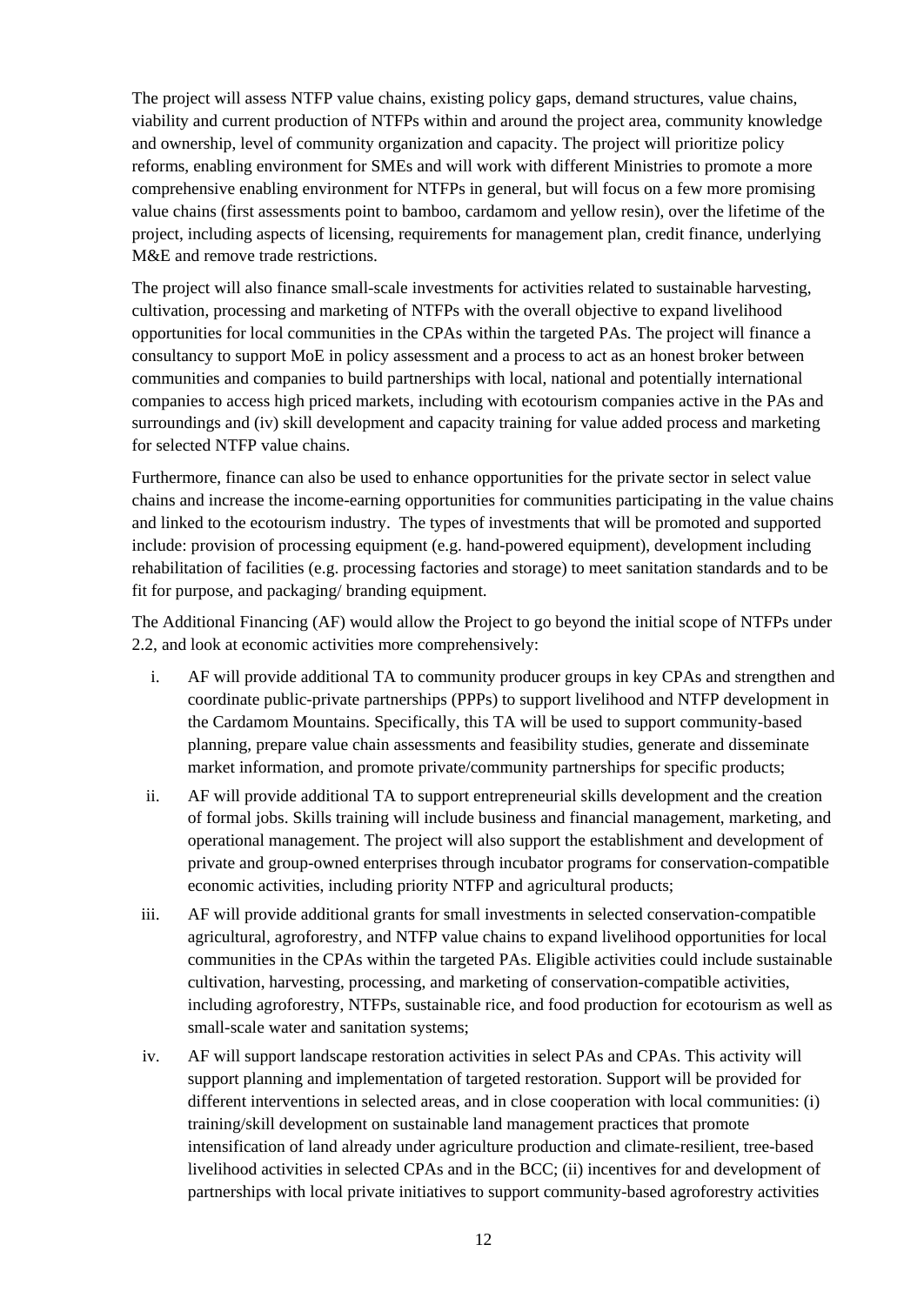The project will assess NTFP value chains, existing policy gaps, demand structures, value chains, viability and current production of NTFPs within and around the project area, community knowledge and ownership, level of community organization and capacity. The project will prioritize policy reforms, enabling environment for SMEs and will work with different Ministries to promote a more comprehensive enabling environment for NTFPs in general, but will focus on a few more promising value chains (first assessments point to bamboo, cardamom and yellow resin), over the lifetime of the project, including aspects of licensing, requirements for management plan, credit finance, underlying M&E and remove trade restrictions.

The project will also finance small-scale investments for activities related to sustainable harvesting, cultivation, processing and marketing of NTFPs with the overall objective to expand livelihood opportunities for local communities in the CPAs within the targeted PAs. The project will finance a consultancy to support MoE in policy assessment and a process to act as an honest broker between communities and companies to build partnerships with local, national and potentially international companies to access high priced markets, including with ecotourism companies active in the PAs and surroundings and (iv) skill development and capacity training for value added process and marketing for selected NTFP value chains.

Furthermore, finance can also be used to enhance opportunities for the private sector in select value chains and increase the income-earning opportunities for communities participating in the value chains and linked to the ecotourism industry. The types of investments that will be promoted and supported include: provision of processing equipment (e.g. hand-powered equipment), development including rehabilitation of facilities (e.g. processing factories and storage) to meet sanitation standards and to be fit for purpose, and packaging/ branding equipment.

The Additional Financing (AF) would allow the Project to go beyond the initial scope of NTFPs under 2.2, and look at economic activities more comprehensively:

- i. AF will provide additional TA to community producer groups in key CPAs and strengthen and coordinate public-private partnerships (PPPs) to support livelihood and NTFP development in the Cardamom Mountains. Specifically, this TA will be used to support community-based planning, prepare value chain assessments and feasibility studies, generate and disseminate market information, and promote private/community partnerships for specific products;
- ii. AF will provide additional TA to support entrepreneurial skills development and the creation of formal jobs. Skills training will include business and financial management, marketing, and operational management. The project will also support the establishment and development of private and group-owned enterprises through incubator programs for conservation-compatible economic activities, including priority NTFP and agricultural products;
- iii. AF will provide additional grants for small investments in selected conservation-compatible agricultural, agroforestry, and NTFP value chains to expand livelihood opportunities for local communities in the CPAs within the targeted PAs. Eligible activities could include sustainable cultivation, harvesting, processing, and marketing of conservation-compatible activities, including agroforestry, NTFPs, sustainable rice, and food production for ecotourism as well as small-scale water and sanitation systems;
- iv. AF will support landscape restoration activities in select PAs and CPAs. This activity will support planning and implementation of targeted restoration. Support will be provided for different interventions in selected areas, and in close cooperation with local communities: (i) training/skill development on sustainable land management practices that promote intensification of land already under agriculture production and climate-resilient, tree-based livelihood activities in selected CPAs and in the BCC; (ii) incentives for and development of partnerships with local private initiatives to support community-based agroforestry activities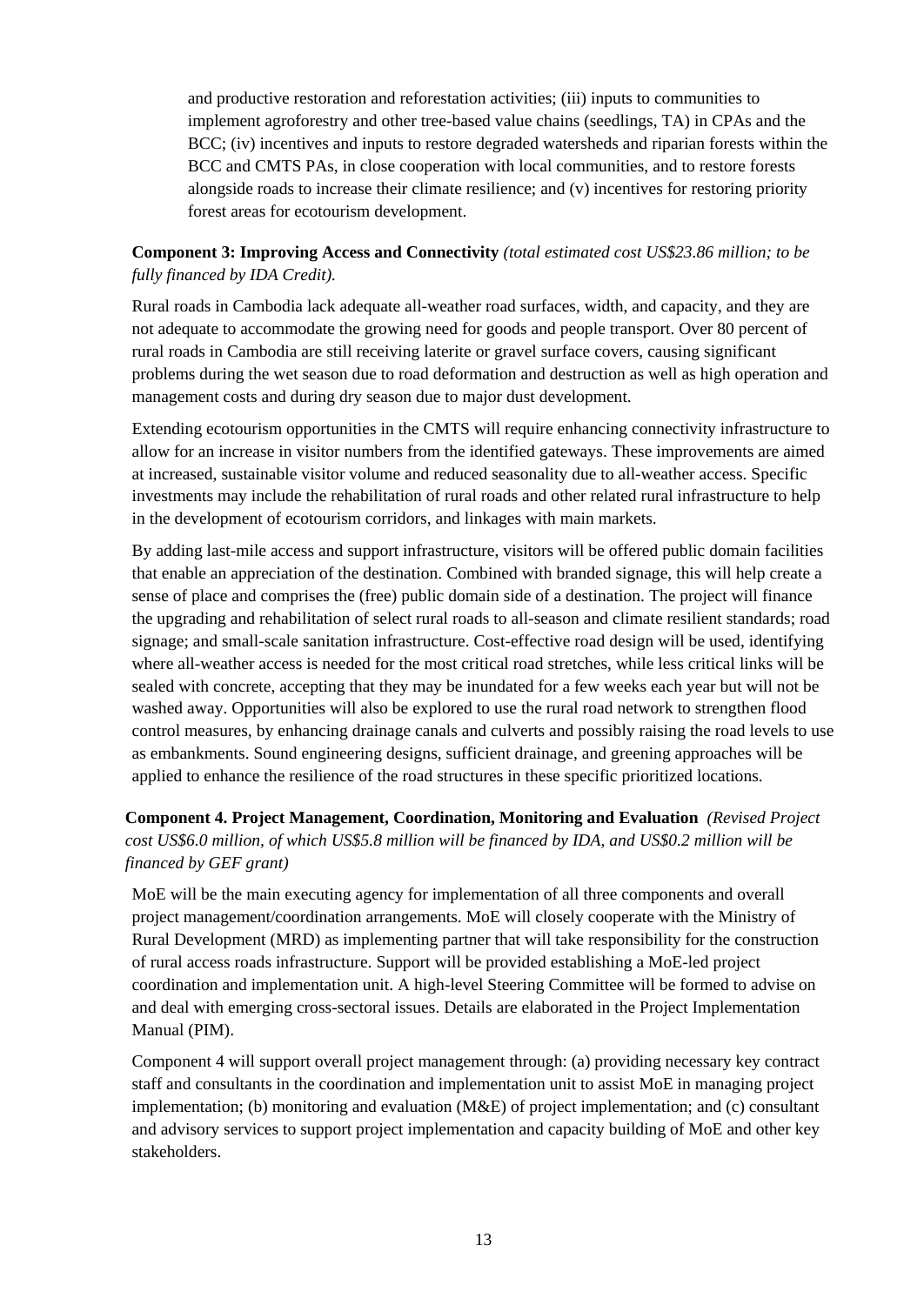and productive restoration and reforestation activities; (iii) inputs to communities to implement agroforestry and other tree-based value chains (seedlings, TA) in CPAs and the BCC; (iv) incentives and inputs to restore degraded watersheds and riparian forests within the BCC and CMTS PAs, in close cooperation with local communities, and to restore forests alongside roads to increase their climate resilience; and (v) incentives for restoring priority forest areas for ecotourism development.

# **Component 3: Improving Access and Connectivity** *(total estimated cost US\$23.86 million; to be fully financed by IDA Credit).*

Rural roads in Cambodia lack adequate all-weather road surfaces, width, and capacity, and they are not adequate to accommodate the growing need for goods and people transport. Over 80 percent of rural roads in Cambodia are still receiving laterite or gravel surface covers, causing significant problems during the wet season due to road deformation and destruction as well as high operation and management costs and during dry season due to major dust development.

Extending ecotourism opportunities in the CMTS will require enhancing connectivity infrastructure to allow for an increase in visitor numbers from the identified gateways. These improvements are aimed at increased, sustainable visitor volume and reduced seasonality due to all-weather access. Specific investments may include the rehabilitation of rural roads and other related rural infrastructure to help in the development of ecotourism corridors, and linkages with main markets.

By adding last-mile access and support infrastructure, visitors will be offered public domain facilities that enable an appreciation of the destination. Combined with branded signage, this will help create a sense of place and comprises the (free) public domain side of a destination. The project will finance the upgrading and rehabilitation of select rural roads to all-season and climate resilient standards; road signage; and small-scale sanitation infrastructure. Cost-effective road design will be used, identifying where all-weather access is needed for the most critical road stretches, while less critical links will be sealed with concrete, accepting that they may be inundated for a few weeks each year but will not be washed away. Opportunities will also be explored to use the rural road network to strengthen flood control measures, by enhancing drainage canals and culverts and possibly raising the road levels to use as embankments. Sound engineering designs, sufficient drainage, and greening approaches will be applied to enhance the resilience of the road structures in these specific prioritized locations.

# **Component 4. Project Management, Coordination, Monitoring and Evaluation** *(Revised Project cost US\$6.0 million, of which US\$5.8 million will be financed by IDA, and US\$0.2 million will be financed by GEF grant)*

MoE will be the main executing agency for implementation of all three components and overall project management/coordination arrangements. MoE will closely cooperate with the Ministry of Rural Development (MRD) as implementing partner that will take responsibility for the construction of rural access roads infrastructure. Support will be provided establishing a MoE-led project coordination and implementation unit. A high-level Steering Committee will be formed to advise on and deal with emerging cross-sectoral issues. Details are elaborated in the Project Implementation Manual (PIM).

Component 4 will support overall project management through: (a) providing necessary key contract staff and consultants in the coordination and implementation unit to assist MoE in managing project implementation; (b) monitoring and evaluation (M&E) of project implementation; and (c) consultant and advisory services to support project implementation and capacity building of MoE and other key stakeholders.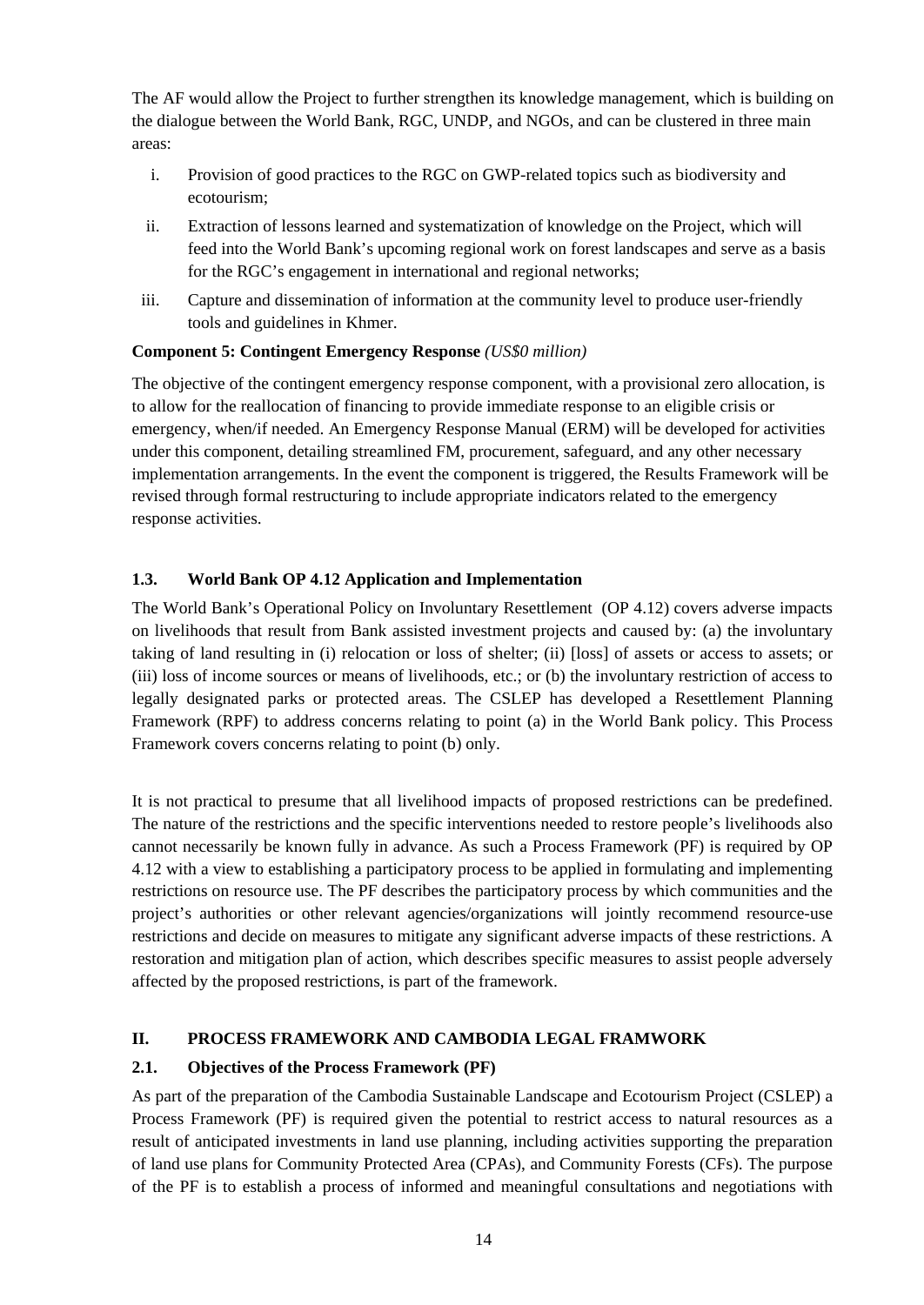The AF would allow the Project to further strengthen its knowledge management, which is building on the dialogue between the World Bank, RGC, UNDP, and NGOs, and can be clustered in three main areas:

- i. Provision of good practices to the RGC on GWP-related topics such as biodiversity and ecotourism;
- ii. Extraction of lessons learned and systematization of knowledge on the Project, which will feed into the World Bank's upcoming regional work on forest landscapes and serve as a basis for the RGC's engagement in international and regional networks;
- iii. Capture and dissemination of information at the community level to produce user-friendly tools and guidelines in Khmer.

# **Component 5: Contingent Emergency Response** *(US\$0 million)*

The objective of the contingent emergency response component, with a provisional zero allocation, is to allow for the reallocation of financing to provide immediate response to an eligible crisis or emergency, when/if needed. An Emergency Response Manual (ERM) will be developed for activities under this component, detailing streamlined FM, procurement, safeguard, and any other necessary implementation arrangements. In the event the component is triggered, the Results Framework will be revised through formal restructuring to include appropriate indicators related to the emergency response activities.

# <span id="page-13-0"></span>**1.3. World Bank OP 4.12 Application and Implementation**

The World Bank's Operational Policy on Involuntary Resettlement (OP 4.12) covers adverse impacts on livelihoods that result from Bank assisted investment projects and caused by: (a) the involuntary taking of land resulting in (i) relocation or loss of shelter; (ii) [loss] of assets or access to assets; or (iii) loss of income sources or means of livelihoods, etc.; or (b) the involuntary restriction of access to legally designated parks or protected areas. The CSLEP has developed a Resettlement Planning Framework (RPF) to address concerns relating to point (a) in the World Bank policy. This Process Framework covers concerns relating to point (b) only.

It is not practical to presume that all livelihood impacts of proposed restrictions can be predefined. The nature of the restrictions and the specific interventions needed to restore people's livelihoods also cannot necessarily be known fully in advance. As such a Process Framework (PF) is required by OP 4.12 with a view to establishing a participatory process to be applied in formulating and implementing restrictions on resource use. The PF describes the participatory process by which communities and the project's authorities or other relevant agencies/organizations will jointly recommend resource-use restrictions and decide on measures to mitigate any significant adverse impacts of these restrictions. A restoration and mitigation plan of action, which describes specific measures to assist people adversely affected by the proposed restrictions, is part of the framework.

# <span id="page-13-1"></span>**II. PROCESS FRAMEWORK AND CAMBODIA LEGAL FRAMWORK**

# <span id="page-13-2"></span>**2.1. Objectives of the Process Framework (PF)**

As part of the preparation of the Cambodia Sustainable Landscape and Ecotourism Project (CSLEP) a Process Framework (PF) is required given the potential to restrict access to natural resources as a result of anticipated investments in land use planning, including activities supporting the preparation of land use plans for Community Protected Area (CPAs), and Community Forests (CFs). The purpose of the PF is to establish a process of informed and meaningful consultations and negotiations with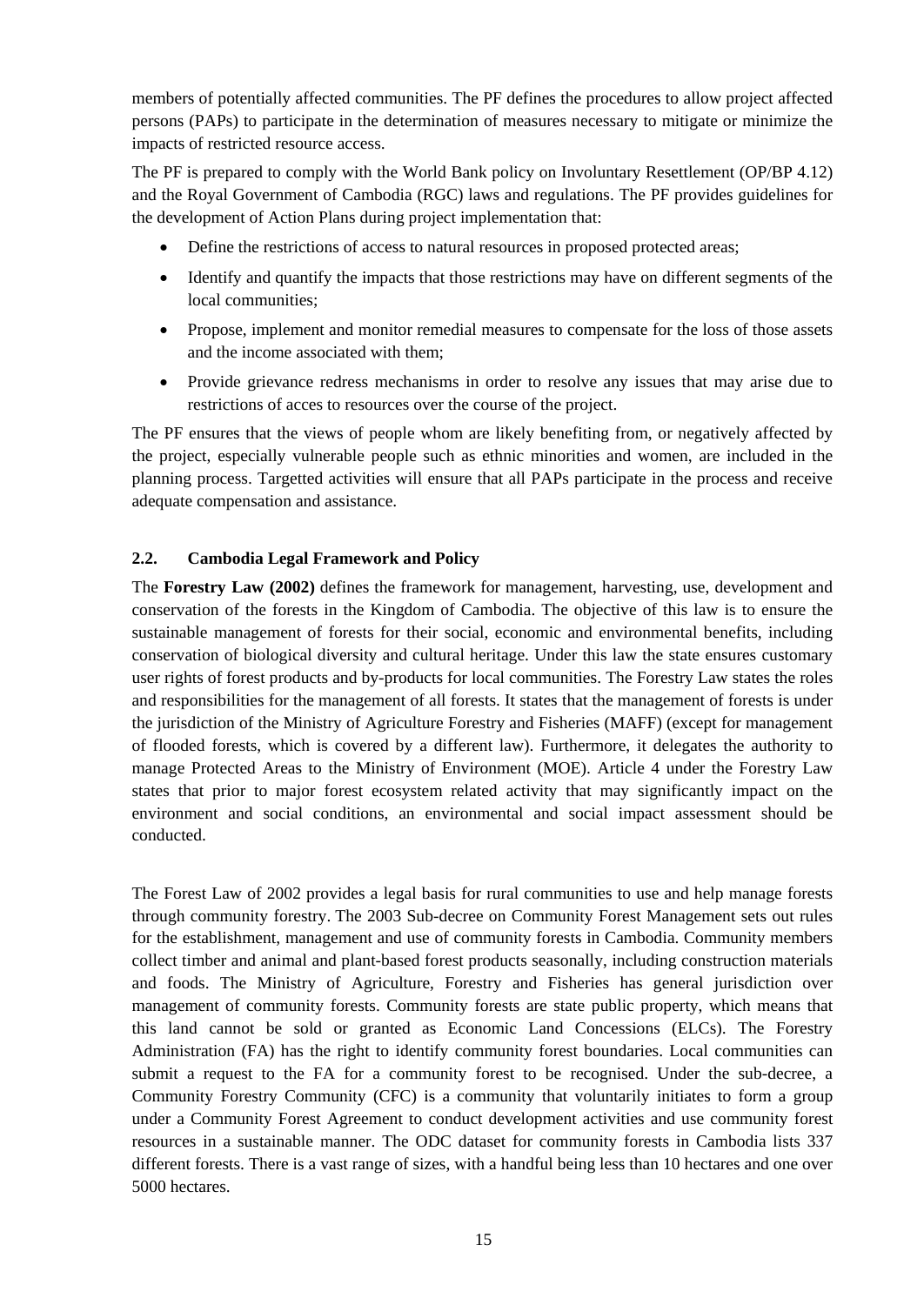members of potentially affected communities. The PF defines the procedures to allow project affected persons (PAPs) to participate in the determination of measures necessary to mitigate or minimize the impacts of restricted resource access.

The PF is prepared to comply with the World Bank policy on Involuntary Resettlement (OP/BP 4.12) and the Royal Government of Cambodia (RGC) laws and regulations. The PF provides guidelines for the development of Action Plans during project implementation that:

- Define the restrictions of access to natural resources in proposed protected areas;
- Identify and quantify the impacts that those restrictions may have on different segments of the local communities;
- Propose, implement and monitor remedial measures to compensate for the loss of those assets and the income associated with them;
- Provide grievance redress mechanisms in order to resolve any issues that may arise due to restrictions of acces to resources over the course of the project.

The PF ensures that the views of people whom are likely benefiting from, or negatively affected by the project, especially vulnerable people such as ethnic minorities and women, are included in the planning process. Targetted activities will ensure that all PAPs participate in the process and receive adequate compensation and assistance.

#### <span id="page-14-0"></span>**2.2. Cambodia Legal Framework and Policy**

The **Forestry Law (2002)** defines the framework for management, harvesting, use, development and conservation of the forests in the Kingdom of Cambodia. The objective of this law is to ensure the sustainable management of forests for their social, economic and environmental benefits, including conservation of biological diversity and cultural heritage. Under this law the state ensures customary user rights of forest products and by-products for local communities. The Forestry Law states the roles and responsibilities for the management of all forests. It states that the management of forests is under the jurisdiction of the Ministry of Agriculture Forestry and Fisheries (MAFF) (except for management of flooded forests, which is covered by a different law). Furthermore, it delegates the authority to manage Protected Areas to the Ministry of Environment (MOE). Article 4 under the Forestry Law states that prior to major forest ecosystem related activity that may significantly impact on the environment and social conditions, an environmental and social impact assessment should be conducted.

The Forest Law of 2002 provides a legal basis for rural communities to use and help manage forests through community forestry. The 2003 Sub-decree on Community Forest Management sets out rules for the establishment, management and use of community forests in Cambodia. Community members collect timber and animal and plant-based forest products seasonally, including construction materials and foods. The Ministry of Agriculture, Forestry and Fisheries has general jurisdiction over management of community forests. Community forests are state public property, which means that this land cannot be sold or granted as Economic Land Concessions (ELCs). The Forestry Administration (FA) has the right to identify community forest boundaries. Local communities can submit a request to the FA for a community forest to be recognised. Under the sub-decree, a Community Forestry Community (CFC) is a community that voluntarily initiates to form a group under a Community Forest Agreement to conduct development activities and use community forest resources in a sustainable manner. The ODC dataset for community forests in Cambodia lists 337 different forests. There is a vast range of sizes, with a handful being less than 10 hectares and one over 5000 hectares.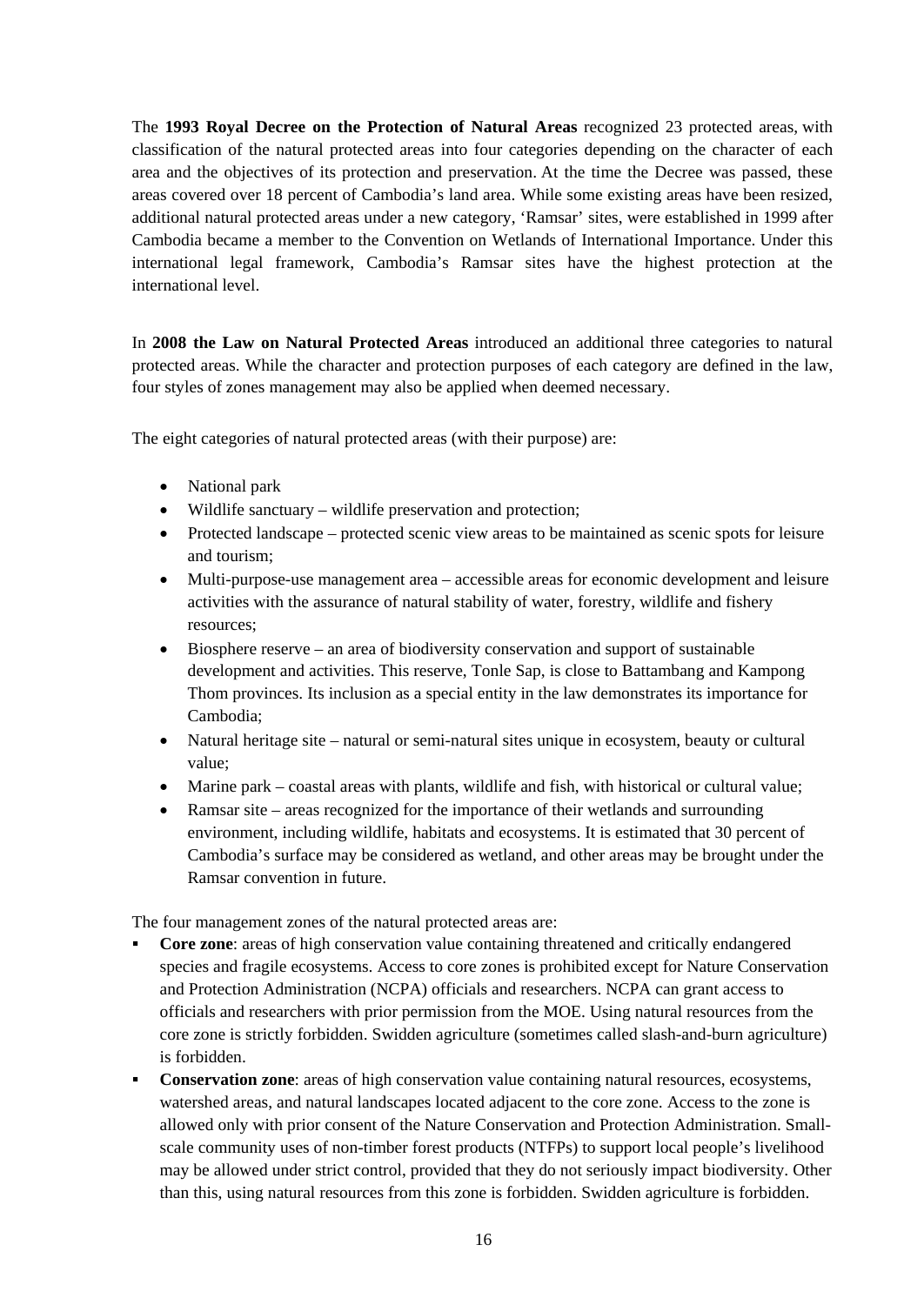The **1993 Royal Decree on the Protection of Natural Areas** recognized 23 protected areas, with classification of the natural protected areas into four categories depending on the character of each area and the objectives of its protection and preservation. At the time the Decree was passed, these areas covered over 18 percent of Cambodia's land area. While some existing areas have been resized, additional natural protected areas under a new category, 'Ramsar' sites, were established in 1999 after Cambodia became a member to the Convention on Wetlands of International Importance. Under this international legal framework, Cambodia's Ramsar sites have the highest protection at the international level.

In **2008 the Law on Natural Protected Areas** introduced an additional three categories to natural protected areas. While the character and protection purposes of each category are defined in the law, four styles of zones management may also be applied when deemed necessary.

The eight categories of natural protected areas (with their purpose) are:

- National park
- Wildlife sanctuary wildlife preservation and protection;
- Protected landscape protected scenic view areas to be maintained as scenic spots for leisure and tourism;
- Multi-purpose-use management area accessible areas for economic development and leisure activities with the assurance of natural stability of water, forestry, wildlife and fishery resources;
- Biosphere reserve an area of biodiversity conservation and support of sustainable development and activities. This reserve, Tonle Sap, is close to Battambang and Kampong Thom provinces. Its inclusion as a special entity in the law demonstrates its importance for Cambodia;
- Natural heritage site natural or semi-natural sites unique in ecosystem, beauty or cultural value;
- Marine park coastal areas with plants, wildlife and fish, with historical or cultural value;
- Ramsar site areas recognized for the importance of their wetlands and surrounding environment, including wildlife, habitats and ecosystems. It is estimated that 30 percent of Cambodia's surface may be considered as wetland, and other areas may be brought under the Ramsar convention in future.

The four management zones of the natural protected areas are:

- **Core zone:** areas of high conservation value containing threatened and critically endangered species and fragile ecosystems. Access to core zones is prohibited except for Nature Conservation and Protection Administration (NCPA) officials and researchers. NCPA can grant access to officials and researchers with prior permission from the MOE. Using natural resources from the core zone is strictly forbidden. Swidden agriculture (sometimes called slash-and-burn agriculture) is forbidden.
- **Conservation zone**: areas of high conservation value containing natural resources, ecosystems, watershed areas, and natural landscapes located adjacent to the core zone. Access to the zone is allowed only with prior consent of the Nature Conservation and Protection Administration. Smallscale community uses of non-timber forest products (NTFPs) to support local people's livelihood may be allowed under strict control, provided that they do not seriously impact biodiversity. Other than this, using natural resources from this zone is forbidden. Swidden agriculture is forbidden.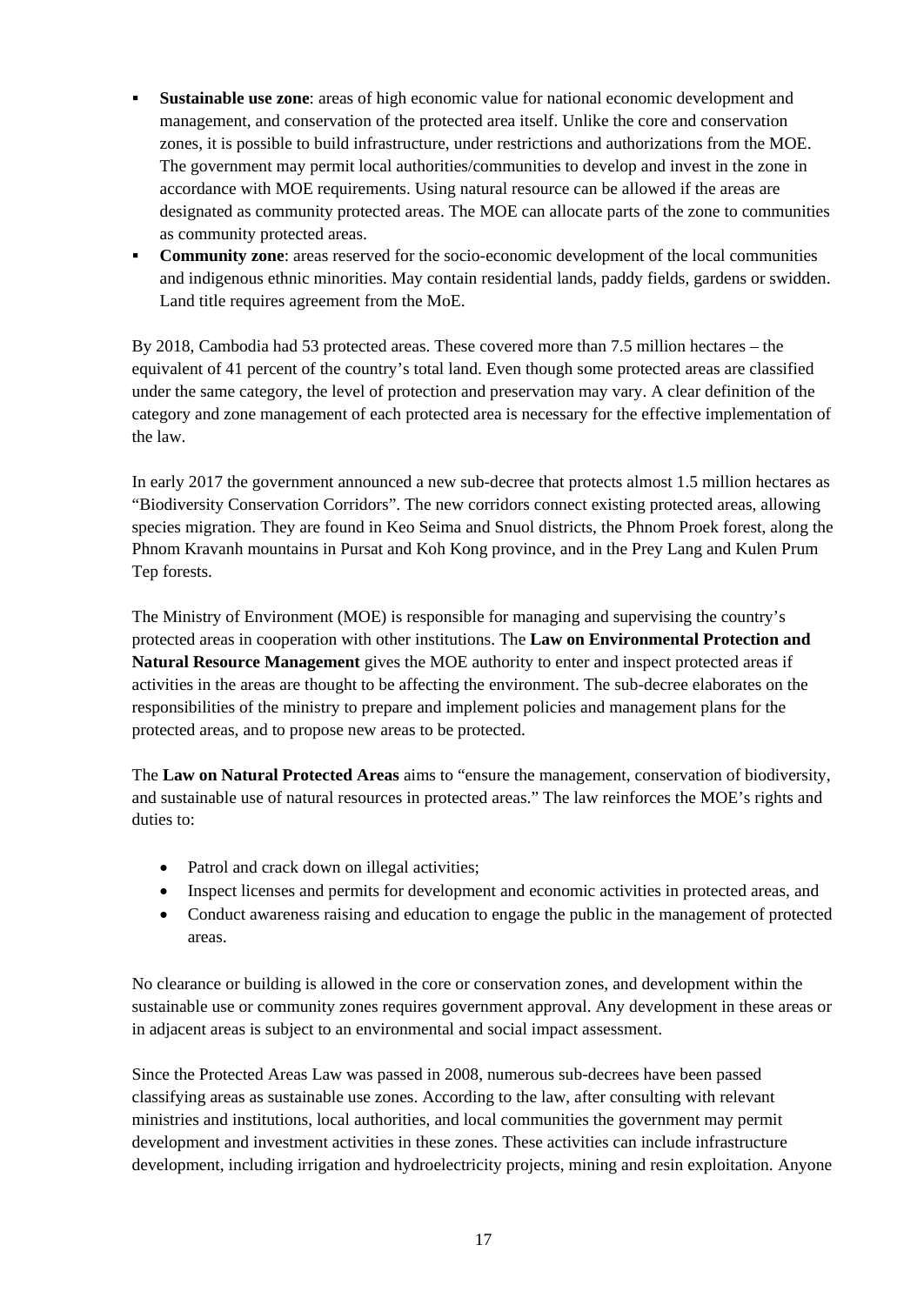- **Sustainable use zone**: areas of high economic value for national economic development and management, and conservation of the protected area itself. Unlike the core and conservation zones, it is possible to build infrastructure, under restrictions and authorizations from the MOE. The government may permit local authorities/communities to develop and invest in the zone in accordance with MOE requirements. Using natural resource can be allowed if the areas are designated as community protected areas. The MOE can allocate parts of the zone to communities as community protected areas.
- **Community zone:** areas reserved for the socio-economic development of the local communities and indigenous ethnic minorities. May contain residential lands, paddy fields, gardens or swidden. Land title requires agreement from the MoE.

By 2018, Cambodia had 53 protected areas. These covered more than 7.5 million hectares – the equivalent of 41 percent of the country's total land. Even though some protected areas are classified under the same category, the level of protection and preservation may vary. A clear definition of the category and zone management of each protected area is necessary for the effective implementation of the law.

In early 2017 the government announced a new sub-decree that protects almost 1.5 million hectares as "Biodiversity Conservation Corridors". The new corridors connect existing protected areas, allowing species migration. They are found in Keo Seima and Snuol districts, the Phnom Proek forest, along the Phnom Kravanh mountains in Pursat and Koh Kong province, and in the Prey Lang and Kulen Prum Tep forests.

The Ministry of Environment (MOE) is responsible for managing and supervising the country's protected areas in cooperation with other institutions. The **Law on Environmental Protection and Natural Resource Management** gives the MOE authority to enter and inspect protected areas if activities in the areas are thought to be affecting the environment. The sub-decree elaborates on the responsibilities of the ministry to prepare and implement policies and management plans for the protected areas, and to propose new areas to be protected.

The **Law on Natural Protected Areas** aims to "ensure the management, conservation of biodiversity, and sustainable use of natural resources in protected areas." The law reinforces the MOE's rights and duties to:

- Patrol and crack down on illegal activities;
- Inspect licenses and permits for development and economic activities in protected areas, and
- Conduct awareness raising and education to engage the public in the management of protected areas.

No clearance or building is allowed in the core or conservation zones, and development within the sustainable use or community zones requires government approval. Any development in these areas or in adjacent areas is subject to an environmental and social impact assessment.

Since the Protected Areas Law was passed in 2008, numerous sub-decrees have been passed classifying areas as sustainable use zones. According to the law, after consulting with relevant ministries and institutions, local authorities, and local communities the government may permit development and investment activities in these zones. These activities can include infrastructure development, including irrigation and hydroelectricity projects, mining and resin exploitation. Anyone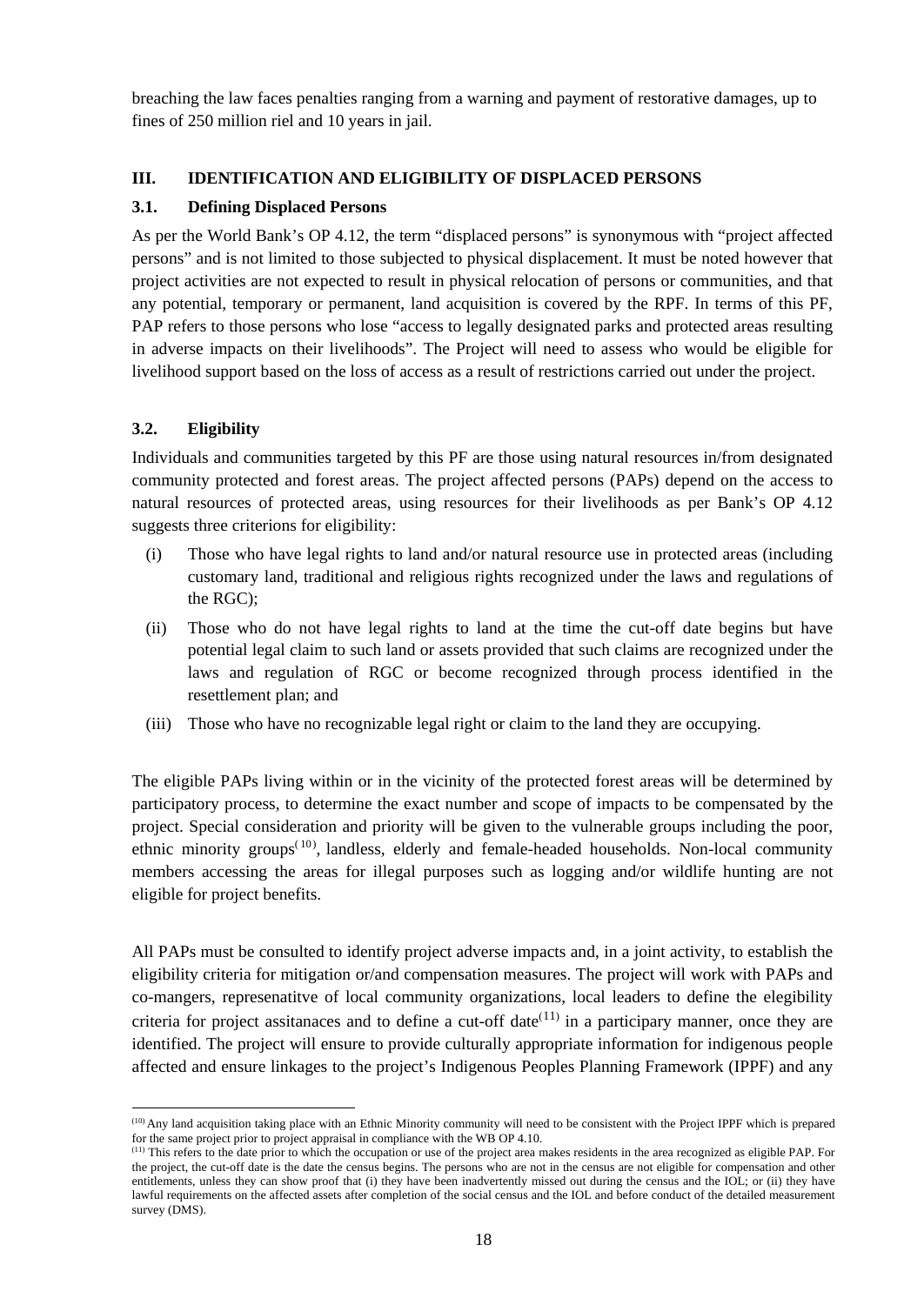breaching the law faces penalties ranging from a warning and payment of restorative damages, up to fines of 250 million riel and 10 years in jail.

# <span id="page-17-0"></span>**III. IDENTIFICATION AND ELIGIBILITY OF DISPLACED PERSONS**

## <span id="page-17-1"></span>**3.1. Defining Displaced Persons**

As per the World Bank's OP 4.12, the term "displaced persons" is synonymous with "project affected persons" and is not limited to those subjected to physical displacement. It must be noted however that project activities are not expected to result in physical relocation of persons or communities, and that any potential, temporary or permanent, land acquisition is covered by the RPF. In terms of this PF, PAP refers to those persons who lose "access to legally designated parks and protected areas resulting in adverse impacts on their livelihoods". The Project will need to assess who would be eligible for livelihood support based on the loss of access as a result of restrictions carried out under the project.

# <span id="page-17-2"></span>**3.2. Eligibility**

Individuals and communities targeted by this PF are those using natural resources in/from designated community protected and forest areas. The project affected persons (PAPs) depend on the access to natural resources of protected areas, using resources for their livelihoods as per Bank's OP 4.12 suggests three criterions for eligibility:

- (i) Those who have legal rights to land and/or natural resource use in protected areas (including customary land, traditional and religious rights recognized under the laws and regulations of the RGC);
- (ii) Those who do not have legal rights to land at the time the cut-off date begins but have potential legal claim to such land or assets provided that such claims are recognized under the laws and regulation of RGC or become recognized through process identified in the resettlement plan; and
- (iii) Those who have no recognizable legal right or claim to the land they are occupying.

The eligible PAPs living within or in the vicinity of the protected forest areas will be determined by participatory process, to determine the exact number and scope of impacts to be compensated by the project. Special consideration and priority will be given to the vulnerable groups including the poor, ethnic minority groups<sup>([10](#page-17-3))</sup>, landless, elderly and female-headed households. Non-local community members accessing the areas for illegal purposes such as logging and/or wildlife hunting are not eligible for project benefits.

All PAPs must be consulted to identify project adverse impacts and, in a joint activity, to establish the eligibility criteria for mitigation or/and compensation measures. The project will work with PAPs and co-mangers, represenatitve of local community organizations, local leaders to define the elegibility criteria for project assitanaces and to define a cut-off date<sup> $(11)$  $(11)$  $(11)$ </sup> in a participary manner, once they are identified. The project will ensure to provide culturally appropriate information for indigenous people affected and ensure linkages to the project's Indigenous Peoples Planning Framework (IPPF) and any

<span id="page-17-3"></span> <sup>(10)</sup> Any land acquisition taking place with an Ethnic Minority community will need to be consistent with the Project IPPF which is prepared for the same project prior to project appraisal in compliance with the WB OP 4.10.<br><sup>(11)</sup> This refers to the date prior to which the occupation or use of the project area makes residents in the area recognized as eligible

<span id="page-17-4"></span>the project, the cut-off date is the date the census begins. The persons who are not in the census are not eligible for compensation and other entitlements, unless they can show proof that (i) they have been inadvertently missed out during the census and the IOL; or (ii) they have lawful requirements on the affected assets after completion of the social census and the IOL and before conduct of the detailed measurement survey (DMS).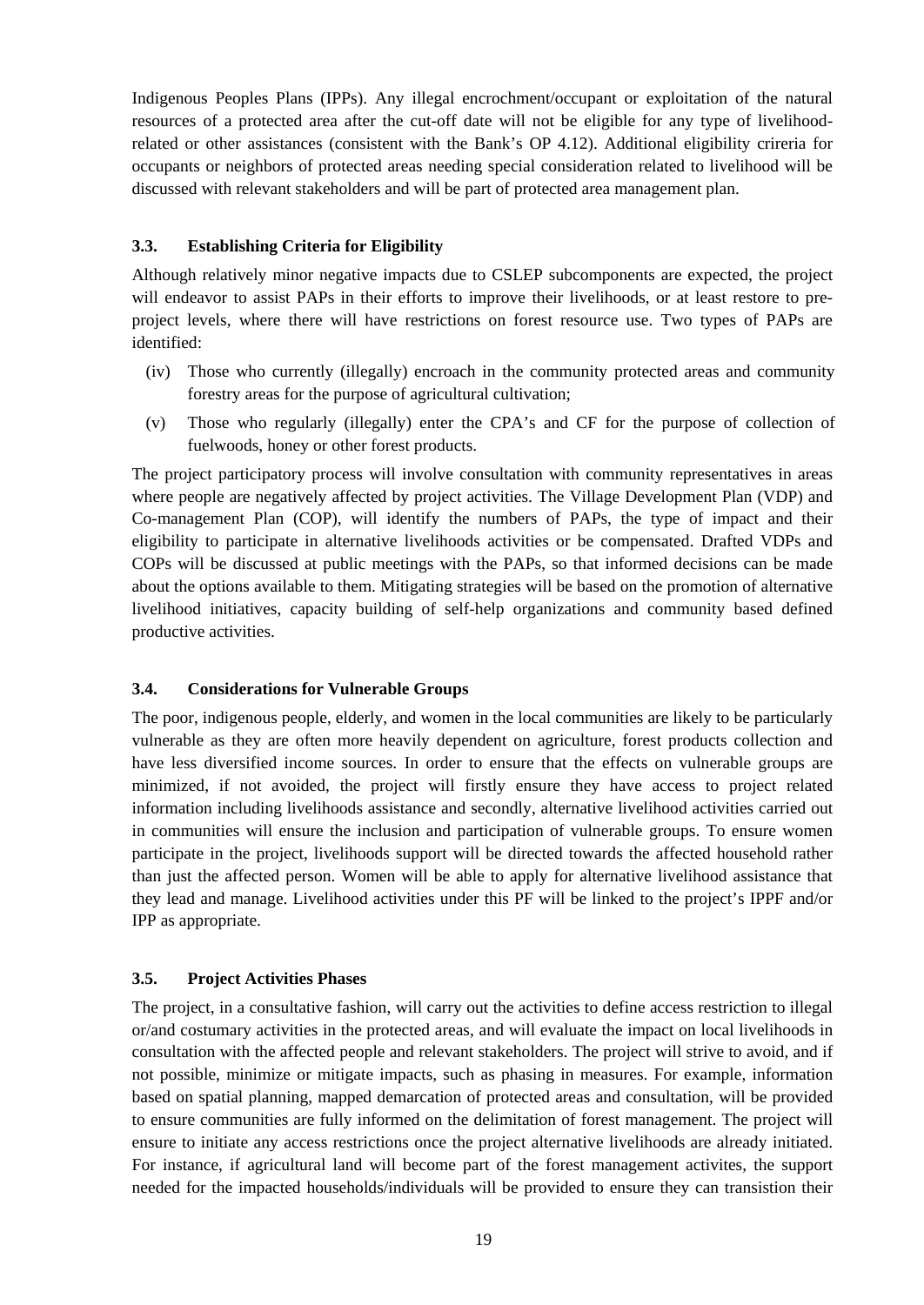Indigenous Peoples Plans (IPPs). Any illegal encrochment/occupant or exploitation of the natural resources of a protected area after the cut-off date will not be eligible for any type of livelihoodrelated or other assistances (consistent with the Bank's OP 4.12). Additional eligibility crireria for occupants or neighbors of protected areas needing special consideration related to livelihood will be discussed with relevant stakeholders and will be part of protected area management plan.

# <span id="page-18-0"></span>**3.3. Establishing Criteria for Eligibility**

Although relatively minor negative impacts due to CSLEP subcomponents are expected, the project will endeavor to assist PAPs in their efforts to improve their livelihoods, or at least restore to preproject levels, where there will have restrictions on forest resource use. Two types of PAPs are identified:

- (iv) Those who currently (illegally) encroach in the community protected areas and community forestry areas for the purpose of agricultural cultivation;
- (v) Those who regularly (illegally) enter the CPA's and CF for the purpose of collection of fuelwoods, honey or other forest products.

The project participatory process will involve consultation with community representatives in areas where people are negatively affected by project activities. The Village Development Plan (VDP) and Co-management Plan (COP), will identify the numbers of PAPs, the type of impact and their eligibility to participate in alternative livelihoods activities or be compensated. Drafted VDPs and COPs will be discussed at public meetings with the PAPs, so that informed decisions can be made about the options available to them. Mitigating strategies will be based on the promotion of alternative livelihood initiatives, capacity building of self-help organizations and community based defined productive activities.

#### <span id="page-18-1"></span>**3.4. Considerations for Vulnerable Groups**

The poor, indigenous people, elderly, and women in the local communities are likely to be particularly vulnerable as they are often more heavily dependent on agriculture, forest products collection and have less diversified income sources. In order to ensure that the effects on vulnerable groups are minimized, if not avoided, the project will firstly ensure they have access to project related information including livelihoods assistance and secondly, alternative livelihood activities carried out in communities will ensure the inclusion and participation of vulnerable groups. To ensure women participate in the project, livelihoods support will be directed towards the affected household rather than just the affected person. Women will be able to apply for alternative livelihood assistance that they lead and manage. Livelihood activities under this PF will be linked to the project's IPPF and/or IPP as appropriate.

#### <span id="page-18-2"></span>**3.5. Project Activities Phases**

The project, in a consultative fashion, will carry out the activities to define access restriction to illegal or/and costumary activities in the protected areas, and will evaluate the impact on local livelihoods in consultation with the affected people and relevant stakeholders. The project will strive to avoid, and if not possible, minimize or mitigate impacts, such as phasing in measures. For example, information based on spatial planning, mapped demarcation of protected areas and consultation, will be provided to ensure communities are fully informed on the delimitation of forest management. The project will ensure to initiate any access restrictions once the project alternative livelihoods are already initiated. For instance, if agricultural land will become part of the forest management activites, the support needed for the impacted households/individuals will be provided to ensure they can transistion their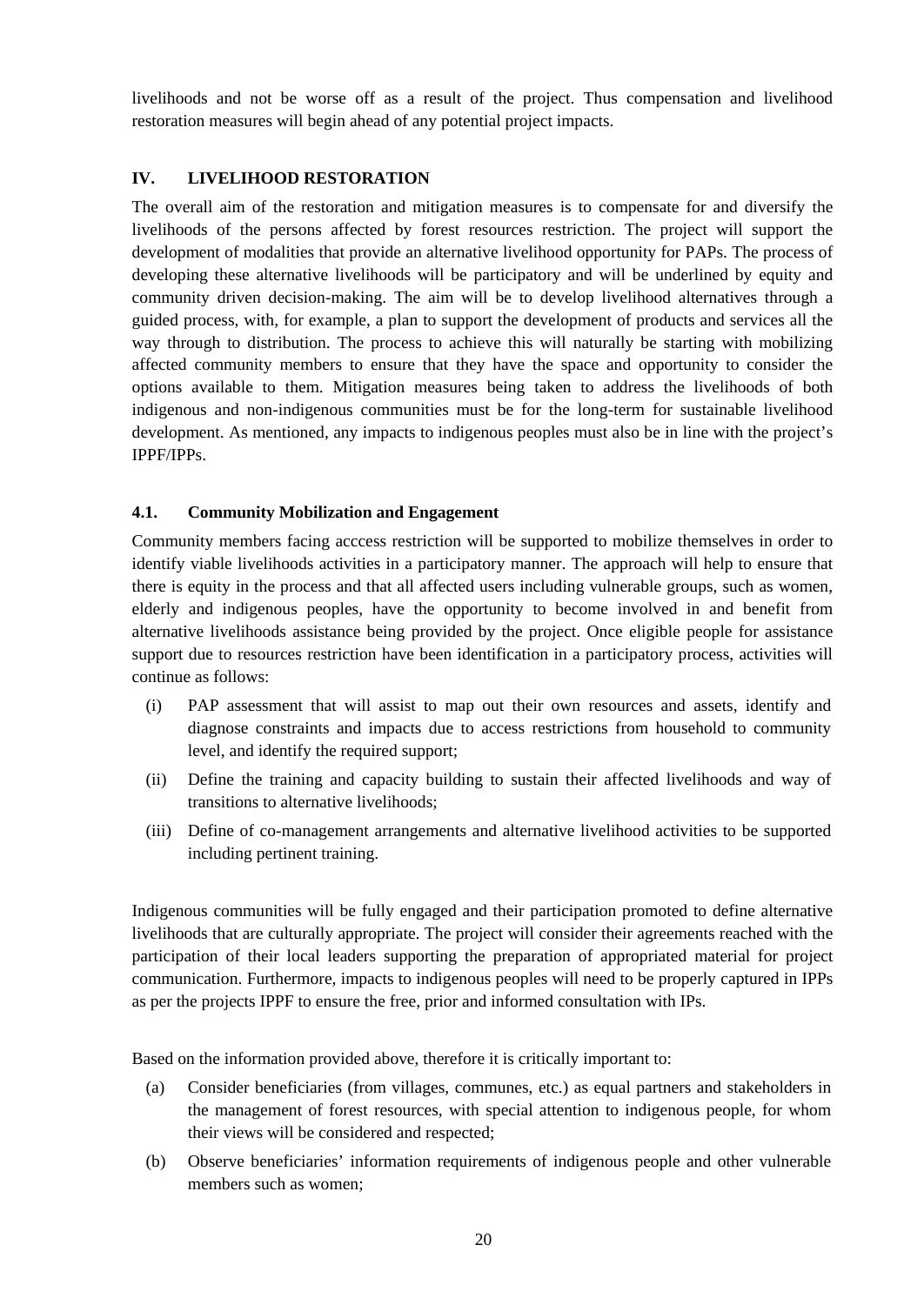livelihoods and not be worse off as a result of the project. Thus compensation and livelihood restoration measures will begin ahead of any potential project impacts.

# <span id="page-19-0"></span>**IV. LIVELIHOOD RESTORATION**

The overall aim of the restoration and mitigation measures is to compensate for and diversify the livelihoods of the persons affected by forest resources restriction. The project will support the development of modalities that provide an alternative livelihood opportunity for PAPs. The process of developing these alternative livelihoods will be participatory and will be underlined by equity and community driven decision-making. The aim will be to develop livelihood alternatives through a guided process, with, for example, a plan to support the development of products and services all the way through to distribution. The process to achieve this will naturally be starting with mobilizing affected community members to ensure that they have the space and opportunity to consider the options available to them. Mitigation measures being taken to address the livelihoods of both indigenous and non-indigenous communities must be for the long-term for sustainable livelihood development. As mentioned, any impacts to indigenous peoples must also be in line with the project's IPPF/IPPs.

#### <span id="page-19-1"></span>**4.1. Community Mobilization and Engagement**

Community members facing acccess restriction will be supported to mobilize themselves in order to identify viable livelihoods activities in a participatory manner. The approach will help to ensure that there is equity in the process and that all affected users including vulnerable groups, such as women, elderly and indigenous peoples, have the opportunity to become involved in and benefit from alternative livelihoods assistance being provided by the project. Once eligible people for assistance support due to resources restriction have been identification in a participatory process, activities will continue as follows:

- (i) PAP assessment that will assist to map out their own resources and assets, identify and diagnose constraints and impacts due to access restrictions from household to community level, and identify the required support;
- (ii) Define the training and capacity building to sustain their affected livelihoods and way of transitions to alternative livelihoods;
- (iii) Define of co-management arrangements and alternative livelihood activities to be supported including pertinent training.

Indigenous communities will be fully engaged and their participation promoted to define alternative livelihoods that are culturally appropriate. The project will consider their agreements reached with the participation of their local leaders supporting the preparation of appropriated material for project communication. Furthermore, impacts to indigenous peoples will need to be properly captured in IPPs as per the projects IPPF to ensure the free, prior and informed consultation with IPs.

Based on the information provided above, therefore it is critically important to:

- (a) Consider beneficiaries (from villages, communes, etc.) as equal partners and stakeholders in the management of forest resources, with special attention to indigenous people, for whom their views will be considered and respected;
- (b) Observe beneficiaries' information requirements of indigenous people and other vulnerable members such as women;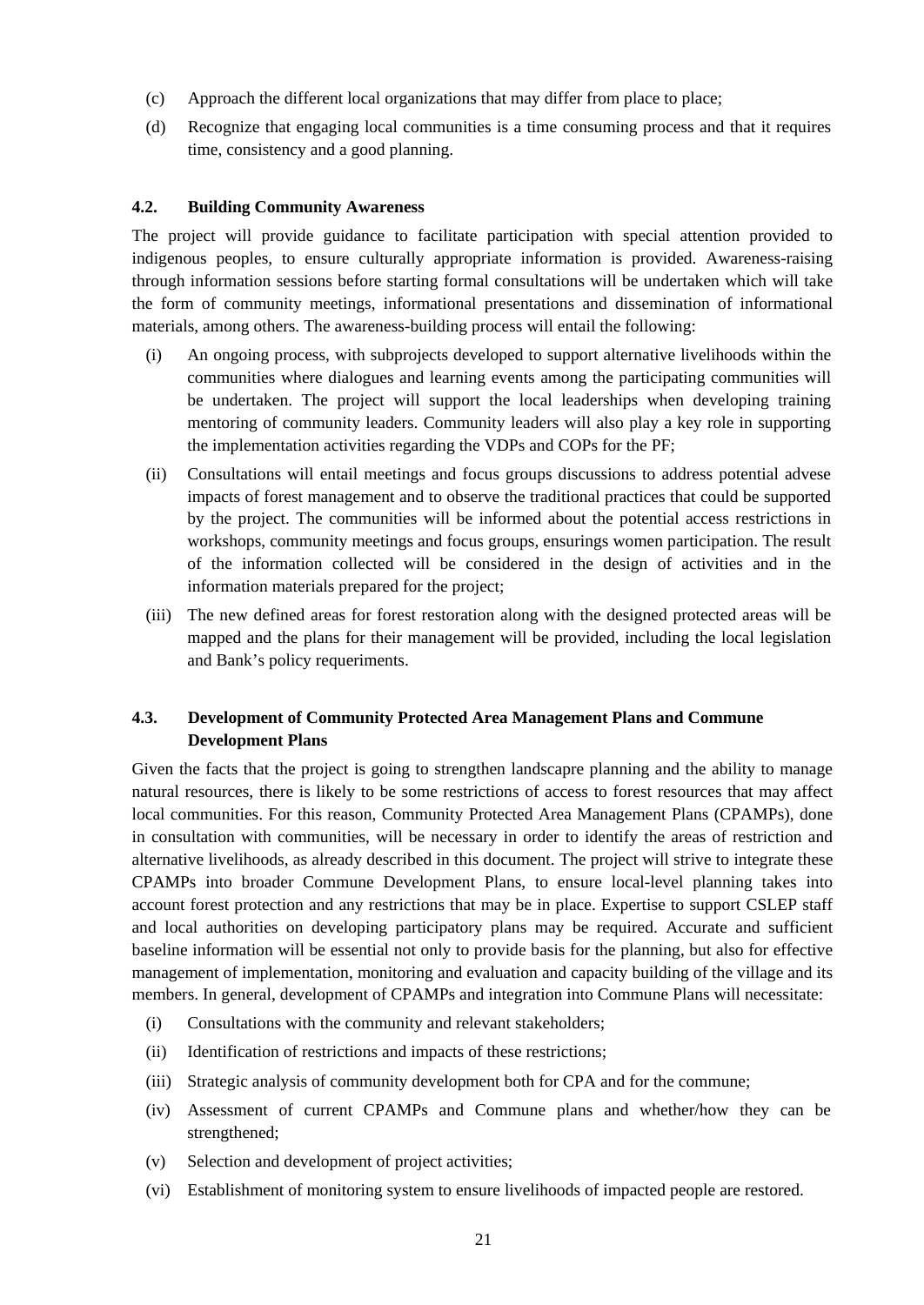- (c) Approach the different local organizations that may differ from place to place;
- (d) Recognize that engaging local communities is a time consuming process and that it requires time, consistency and a good planning.

#### <span id="page-20-0"></span>**4.2. Building Community Awareness**

The project will provide guidance to facilitate participation with special attention provided to indigenous peoples, to ensure culturally appropriate information is provided. Awareness-raising through information sessions before starting formal consultations will be undertaken which will take the form of community meetings, informational presentations and dissemination of informational materials, among others. The awareness-building process will entail the following:

- (i) An ongoing process, with subprojects developed to support alternative livelihoods within the communities where dialogues and learning events among the participating communities will be undertaken. The project will support the local leaderships when developing training mentoring of community leaders. Community leaders will also play a key role in supporting the implementation activities regarding the VDPs and COPs for the PF;
- (ii) Consultations will entail meetings and focus groups discussions to address potential advese impacts of forest management and to observe the traditional practices that could be supported by the project. The communities will be informed about the potential access restrictions in workshops, community meetings and focus groups, ensurings women participation. The result of the information collected will be considered in the design of activities and in the information materials prepared for the project;
- (iii) The new defined areas for forest restoration along with the designed protected areas will be mapped and the plans for their management will be provided, including the local legislation and Bank's policy requeriments.

#### <span id="page-20-1"></span>**4.3. Development of Community Protected Area Management Plans and Commune Development Plans**

Given the facts that the project is going to strengthen landscapre planning and the ability to manage natural resources, there is likely to be some restrictions of access to forest resources that may affect local communities. For this reason, Community Protected Area Management Plans (CPAMPs), done in consultation with communities, will be necessary in order to identify the areas of restriction and alternative livelihoods, as already described in this document. The project will strive to integrate these CPAMPs into broader Commune Development Plans, to ensure local-level planning takes into account forest protection and any restrictions that may be in place. Expertise to support CSLEP staff and local authorities on developing participatory plans may be required. Accurate and sufficient baseline information will be essential not only to provide basis for the planning, but also for effective management of implementation, monitoring and evaluation and capacity building of the village and its members. In general, development of CPAMPs and integration into Commune Plans will necessitate:

- (i) Consultations with the community and relevant stakeholders;
- (ii) Identification of restrictions and impacts of these restrictions;
- (iii) Strategic analysis of community development both for CPA and for the commune;
- (iv) Assessment of current CPAMPs and Commune plans and whether/how they can be strengthened;
- (v) Selection and development of project activities;
- (vi) Establishment of monitoring system to ensure livelihoods of impacted people are restored.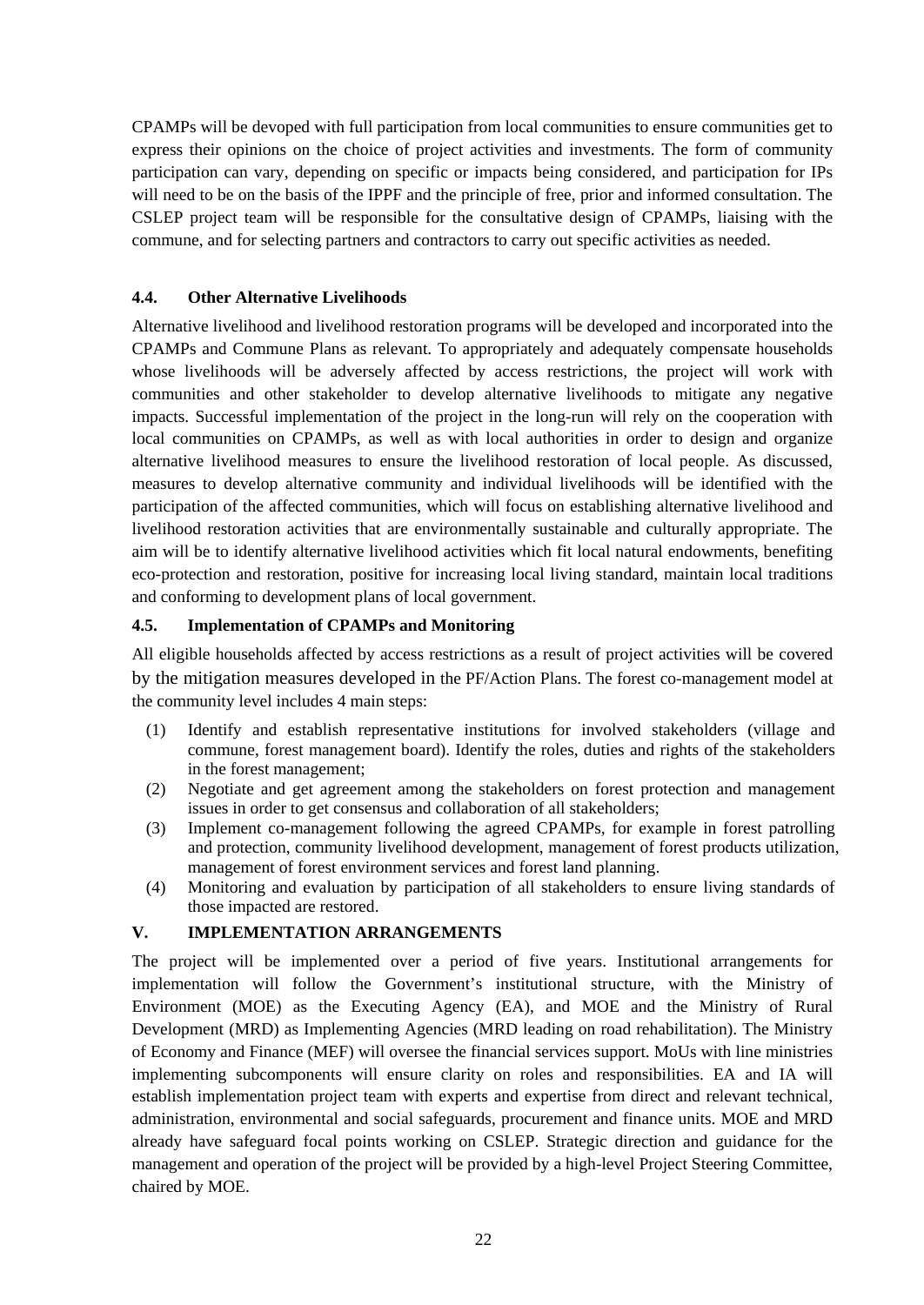CPAMPs will be devoped with full participation from local communities to ensure communities get to express their opinions on the choice of project activities and investments. The form of community participation can vary, depending on specific or impacts being considered, and participation for IPs will need to be on the basis of the IPPF and the principle of free, prior and informed consultation. The CSLEP project team will be responsible for the consultative design of CPAMPs, liaising with the commune, and for selecting partners and contractors to carry out specific activities as needed.

#### <span id="page-21-0"></span>**4.4. Other Alternative Livelihoods**

Alternative livelihood and livelihood restoration programs will be developed and incorporated into the CPAMPs and Commune Plans as relevant. To appropriately and adequately compensate households whose livelihoods will be adversely affected by access restrictions, the project will work with communities and other stakeholder to develop alternative livelihoods to mitigate any negative impacts. Successful implementation of the project in the long-run will rely on the cooperation with local communities on CPAMPs, as well as with local authorities in order to design and organize alternative livelihood measures to ensure the livelihood restoration of local people. As discussed, measures to develop alternative community and individual livelihoods will be identified with the participation of the affected communities, which will focus on establishing alternative livelihood and livelihood restoration activities that are environmentally sustainable and culturally appropriate. The aim will be to identify alternative livelihood activities which fit local natural endowments, benefiting eco-protection and restoration, positive for increasing local living standard, maintain local traditions and conforming to development plans of local government.

# <span id="page-21-1"></span>**4.5. Implementation of CPAMPs and Monitoring**

All eligible households affected by access restrictions as a result of project activities will be covered by the mitigation measures developed in the PF/Action Plans. The forest co-management model at the community level includes 4 main steps:

- (1) Identify and establish representative institutions for involved stakeholders (village and commune, forest management board). Identify the roles, duties and rights of the stakeholders in the forest management;
- (2) Negotiate and get agreement among the stakeholders on forest protection and management issues in order to get consensus and collaboration of all stakeholders;
- (3) Implement co-management following the agreed CPAMPs, for example in forest patrolling and protection, community livelihood development, management of forest products utilization, management of forest environment services and forest land planning.
- (4) Monitoring and evaluation by participation of all stakeholders to ensure living standards of those impacted are restored.

#### <span id="page-21-2"></span>**V. IMPLEMENTATION ARRANGEMENTS**

The project will be implemented over a period of five years. Institutional arrangements for implementation will follow the Government's institutional structure, with the Ministry of Environment (MOE) as the Executing Agency (EA), and MOE and the Ministry of Rural Development (MRD) as Implementing Agencies (MRD leading on road rehabilitation). The Ministry of Economy and Finance (MEF) will oversee the financial services support. MoUs with line ministries implementing subcomponents will ensure clarity on roles and responsibilities. EA and IA will establish implementation project team with experts and expertise from direct and relevant technical, administration, environmental and social safeguards, procurement and finance units. MOE and MRD already have safeguard focal points working on CSLEP. Strategic direction and guidance for the management and operation of the project will be provided by a high-level Project Steering Committee, chaired by MOE.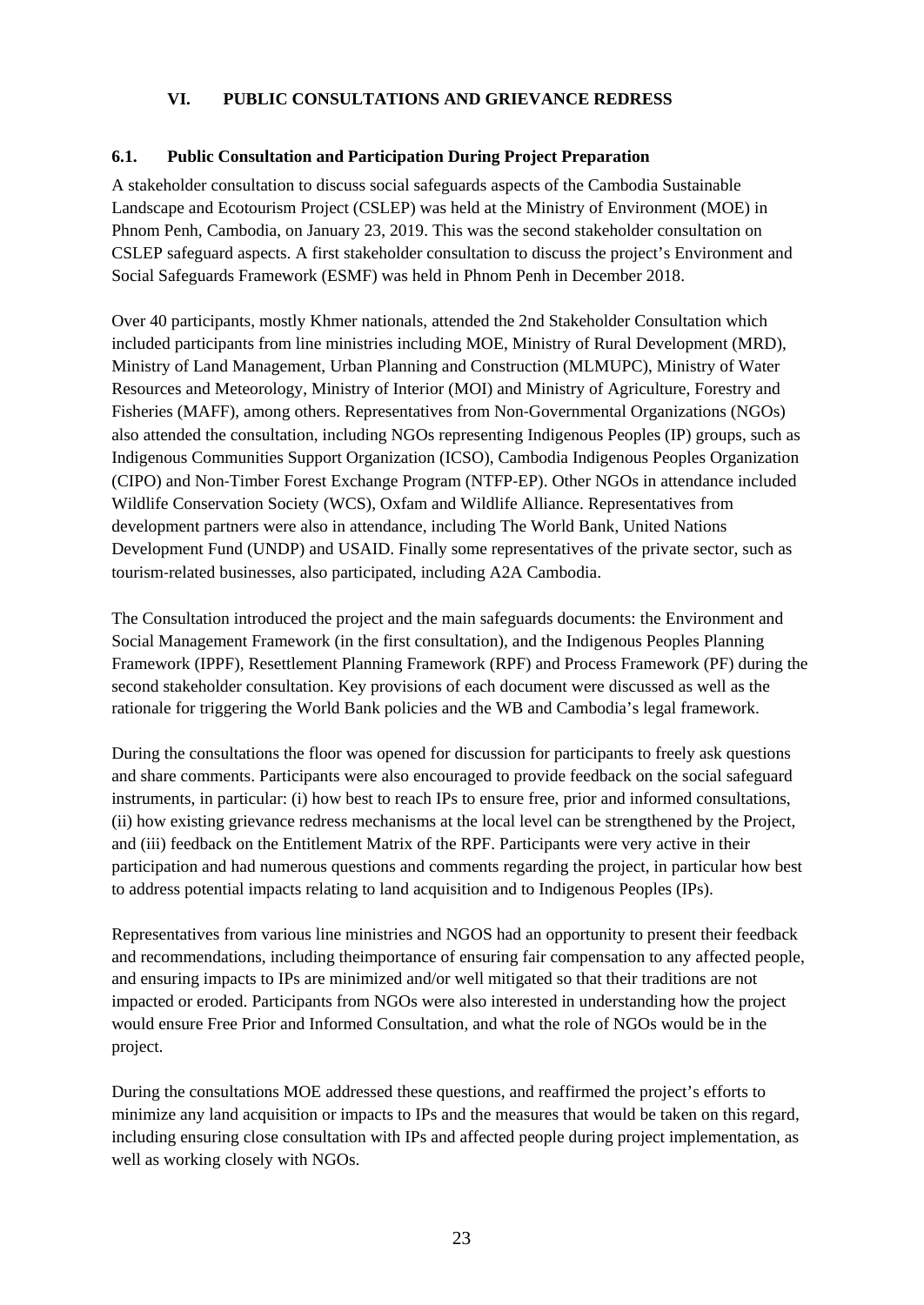## **VI. PUBLIC CONSULTATIONS AND GRIEVANCE REDRESS**

#### <span id="page-22-1"></span><span id="page-22-0"></span>**6.1. Public Consultation and Participation During Project Preparation**

A stakeholder consultation to discuss social safeguards aspects of the Cambodia Sustainable Landscape and Ecotourism Project (CSLEP) was held at the Ministry of Environment (MOE) in Phnom Penh, Cambodia, on January 23, 2019. This was the second stakeholder consultation on CSLEP safeguard aspects. A first stakeholder consultation to discuss the project's Environment and Social Safeguards Framework (ESMF) was held in Phnom Penh in December 2018.

Over 40 participants, mostly Khmer nationals, attended the 2nd Stakeholder Consultation which included participants from line ministries including MOE, Ministry of Rural Development (MRD), Ministry of Land Management, Urban Planning and Construction (MLMUPC), Ministry of Water Resources and Meteorology, Ministry of Interior (MOI) and Ministry of Agriculture, Forestry and Fisheries (MAFF), among others. Representatives from Non‐Governmental Organizations (NGOs) also attended the consultation, including NGOs representing Indigenous Peoples (IP) groups, such as Indigenous Communities Support Organization (ICSO), Cambodia Indigenous Peoples Organization (CIPO) and Non‐Timber Forest Exchange Program (NTFP‐EP). Other NGOs in attendance included Wildlife Conservation Society (WCS), Oxfam and Wildlife Alliance. Representatives from development partners were also in attendance, including The World Bank, United Nations Development Fund (UNDP) and USAID. Finally some representatives of the private sector, such as tourism‐related businesses, also participated, including A2A Cambodia.

The Consultation introduced the project and the main safeguards documents: the Environment and Social Management Framework (in the first consultation), and the Indigenous Peoples Planning Framework (IPPF), Resettlement Planning Framework (RPF) and Process Framework (PF) during the second stakeholder consultation. Key provisions of each document were discussed as well as the rationale for triggering the World Bank policies and the WB and Cambodia's legal framework.

During the consultations the floor was opened for discussion for participants to freely ask questions and share comments. Participants were also encouraged to provide feedback on the social safeguard instruments, in particular: (i) how best to reach IPs to ensure free, prior and informed consultations, (ii) how existing grievance redress mechanisms at the local level can be strengthened by the Project, and (iii) feedback on the Entitlement Matrix of the RPF. Participants were very active in their participation and had numerous questions and comments regarding the project, in particular how best to address potential impacts relating to land acquisition and to Indigenous Peoples (IPs).

Representatives from various line ministries and NGOS had an opportunity to present their feedback and recommendations, including theimportance of ensuring fair compensation to any affected people, and ensuring impacts to IPs are minimized and/or well mitigated so that their traditions are not impacted or eroded. Participants from NGOs were also interested in understanding how the project would ensure Free Prior and Informed Consultation, and what the role of NGOs would be in the project.

During the consultations MOE addressed these questions, and reaffirmed the project's efforts to minimize any land acquisition or impacts to IPs and the measures that would be taken on this regard, including ensuring close consultation with IPs and affected people during project implementation, as well as working closely with NGOs.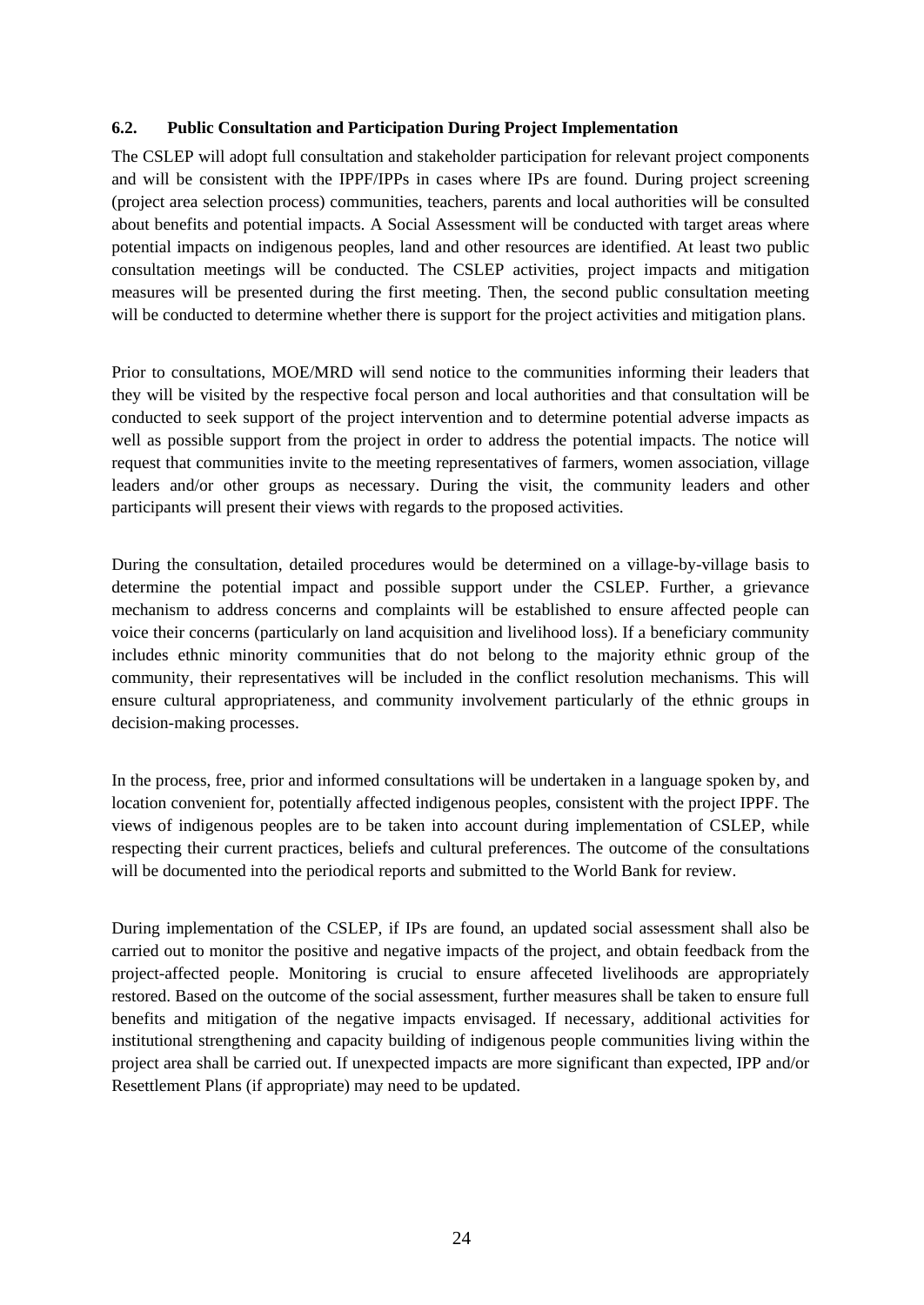#### <span id="page-23-0"></span>**6.2. Public Consultation and Participation During Project Implementation**

The CSLEP will adopt full consultation and stakeholder participation for relevant project components and will be consistent with the IPPF/IPPs in cases where IPs are found. During project screening (project area selection process) communities, teachers, parents and local authorities will be consulted about benefits and potential impacts. A Social Assessment will be conducted with target areas where potential impacts on indigenous peoples, land and other resources are identified. At least two public consultation meetings will be conducted. The CSLEP activities, project impacts and mitigation measures will be presented during the first meeting. Then, the second public consultation meeting will be conducted to determine whether there is support for the project activities and mitigation plans.

Prior to consultations, MOE/MRD will send notice to the communities informing their leaders that they will be visited by the respective focal person and local authorities and that consultation will be conducted to seek support of the project intervention and to determine potential adverse impacts as well as possible support from the project in order to address the potential impacts. The notice will request that communities invite to the meeting representatives of farmers, women association, village leaders and/or other groups as necessary. During the visit, the community leaders and other participants will present their views with regards to the proposed activities.

During the consultation, detailed procedures would be determined on a village-by-village basis to determine the potential impact and possible support under the CSLEP. Further, a grievance mechanism to address concerns and complaints will be established to ensure affected people can voice their concerns (particularly on land acquisition and livelihood loss). If a beneficiary community includes ethnic minority communities that do not belong to the majority ethnic group of the community, their representatives will be included in the conflict resolution mechanisms. This will ensure cultural appropriateness, and community involvement particularly of the ethnic groups in decision-making processes.

In the process, free, prior and informed consultations will be undertaken in a language spoken by, and location convenient for, potentially affected indigenous peoples, consistent with the project IPPF. The views of indigenous peoples are to be taken into account during implementation of CSLEP, while respecting their current practices, beliefs and cultural preferences. The outcome of the consultations will be documented into the periodical reports and submitted to the World Bank for review.

During implementation of the CSLEP, if IPs are found, an updated social assessment shall also be carried out to monitor the positive and negative impacts of the project, and obtain feedback from the project-affected people. Monitoring is crucial to ensure affeceted livelihoods are appropriately restored. Based on the outcome of the social assessment, further measures shall be taken to ensure full benefits and mitigation of the negative impacts envisaged. If necessary, additional activities for institutional strengthening and capacity building of indigenous people communities living within the project area shall be carried out. If unexpected impacts are more significant than expected, IPP and/or Resettlement Plans (if appropriate) may need to be updated.